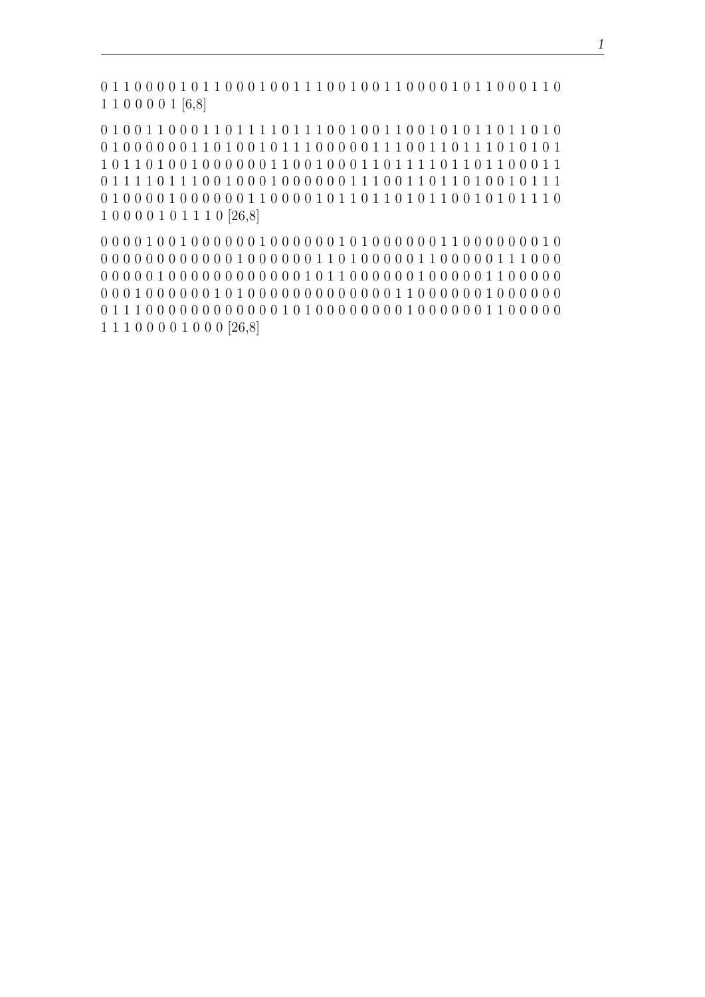0 1 1 0 0 0 0 1 0 1 1 0 0 0 1 0 0 1 1 1 0 0 1 0 0 1 1 0 0 0 0 1 0 1 1 0 0 0 1 1 0 1 1 0 0 0 0 1 [6,8]

0 1 0 0 1 1 0 0 0 1 1 0 1 1 1 1 0 1 1 1 0 0 1 0 0 1 1 0 0 1 0 1 0 1 0 1 1 0 1 0 1 0 1 0 1 0 1 0 1 0 1 0 1 0 1 0 1 0 1 0 1 0 1 0 1 0 1 0 1 0 1 0 1 0 1 0 1 0 1 0 1 0 1 0 1 0 1 0 1 0 1 0 1 0 1 0 1 0 1 0 1 0 1 0 1 0 1 0 1 0 1 0 0 1 0 0 0 0 0 0 1 1 0 1 0 0 1 0 1 1 1 0 0 0 0 0 1 1 1 0 0 1 1 0 1 1 1 0 1 0 1 0 1 0 1 1 0 1 1 0 1 0 0 1 0 0 0 0 0 0 1 1 0 0 1 0 0 0 1 1 0 1 1 1 1 0 1 1 0 1 1 0 0 0 1 1 0 1 1 1 1 0 1 1 1 0 0 1 0 0 0 1 0 0 0 0 0 0 1 1 1 0 0 1 1 0 1 1 0 1 0 0 1 0 1 1 1 0 1 0 0 0 0 1 0 0 0 0 0 0 1 1 0 0 0 0 1 0 1 0 1 0 1 0 1 0 1 0 1 0 0 1 0 1 0 1 0 1 1 0 1 0 0 0 0 1 0 1 1 1 0 [26,8]

0 0 0 0 1 0 0 1 0 0 0 0 0 0 1 0 0 0 0 0 0 1 0 1 0 0 0 0 0 0 1 1 0 0 0 0 0 0 0 1 0 0 0 0 0 0 0 0 0 0 0 0 0 1 0 0 0 0 0 0 1 1 0 1 0 0 0 0 0 1 1 0 0 0 0 0 1 1 1 0 0 0 0 0 0 0 0 1 0 0 0 0 0 0 0 0 0 0 0 0 1 0 1 1 0 0 0 0 0 0 1 0 0 0 0 0 1 1 0 0 0 0 0 0 0 0 1 0 0 0 0 0 0 1 0 1 0 0 0 0 0 0 0 0 0 0 0 0 0 1 1 0 0 0 0 0 0 1 0 0 0 0 0 0 0 1 1 1 0 0 0 0 0 0 0 0 0 0 0 0 1 0 1 0 0 0 0 0 0 0 0 1 0 0 0 0 0 0 1 1 0 0 0 0 0 1 1 1 0 0 0 0 1 0 0 0 [26,8]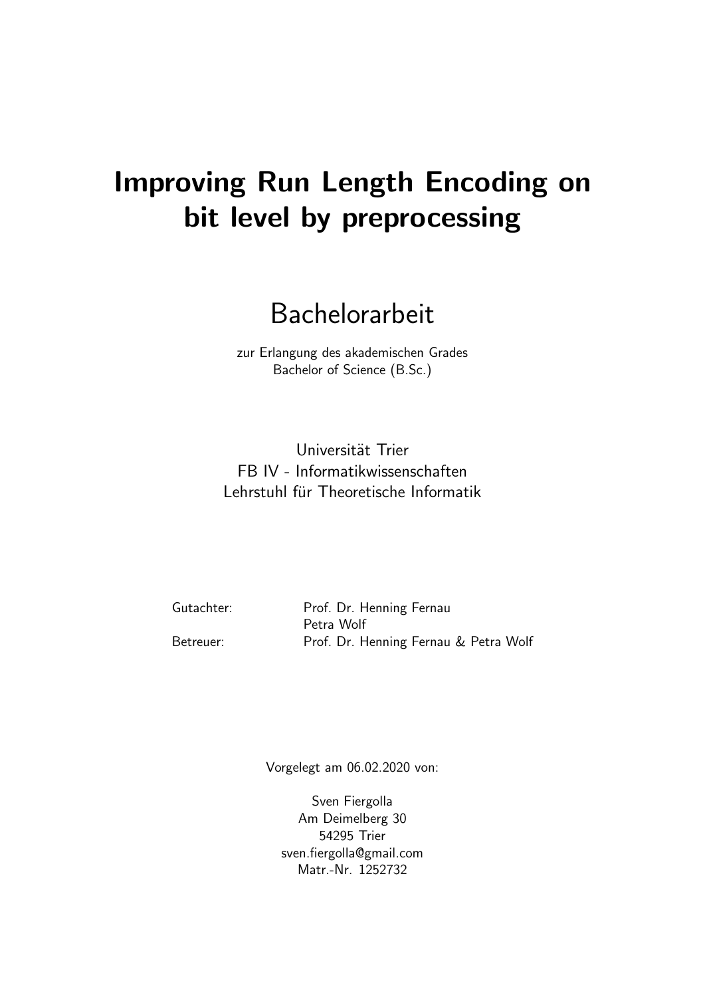## Improving Run Length Encoding on bit level by preprocessing

## Bachelorarbeit

zur Erlangung des akademischen Grades Bachelor of Science (B.Sc.)

Universität Trier FB IV - Informatikwissenschaften Lehrstuhl für Theoretische Informatik

| Gutachter: | Prof. Dr. Henning Fernau              |
|------------|---------------------------------------|
|            | Petra Wolf                            |
| Betreuer:  | Prof. Dr. Henning Fernau & Petra Wolf |

Vorgelegt am 06.02.2020 von:

Sven Fiergolla Am Deimelberg 30 54295 Trier sven.fiergolla@gmail.com Matr.-Nr. 1252732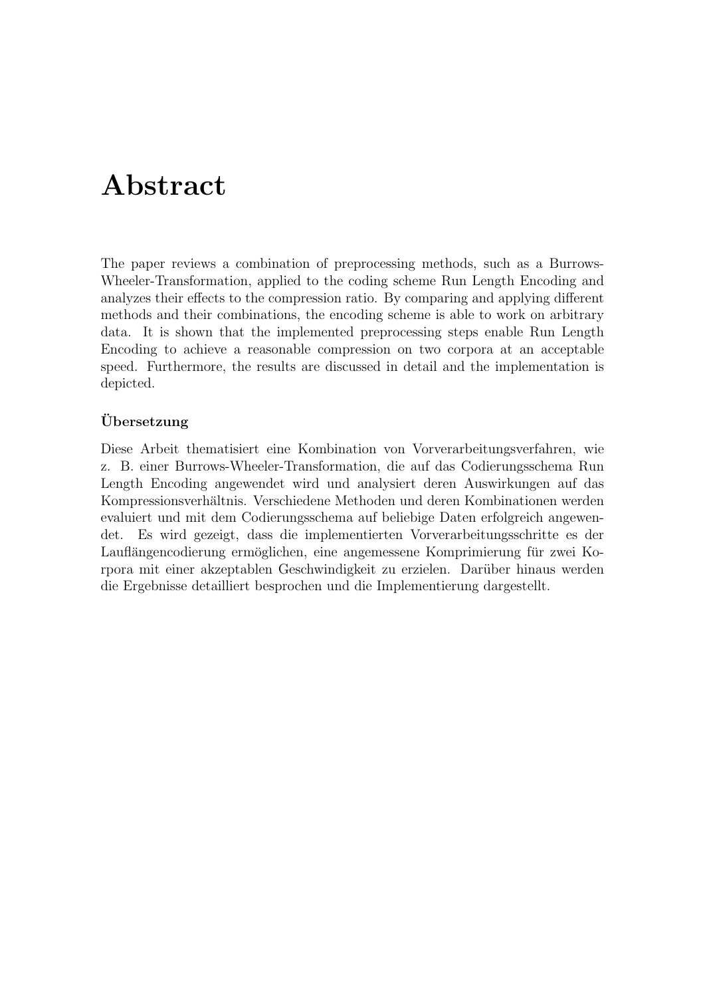## Abstract

The paper reviews a combination of preprocessing methods, such as a Burrows-Wheeler-Transformation, applied to the coding scheme Run Length Encoding and analyzes their effects to the compression ratio. By comparing and applying different methods and their combinations, the encoding scheme is able to work on arbitrary data. It is shown that the implemented preprocessing steps enable Run Length Encoding to achieve a reasonable compression on two corpora at an acceptable speed. Furthermore, the results are discussed in detail and the implementation is depicted.

#### Ubersetzung ¨

Diese Arbeit thematisiert eine Kombination von Vorverarbeitungsverfahren, wie z. B. einer Burrows-Wheeler-Transformation, die auf das Codierungsschema Run Length Encoding angewendet wird und analysiert deren Auswirkungen auf das Kompressionsverhältnis. Verschiedene Methoden und deren Kombinationen werden evaluiert und mit dem Codierungsschema auf beliebige Daten erfolgreich angewendet. Es wird gezeigt, dass die implementierten Vorverarbeitungsschritte es der Lauflängencodierung ermöglichen, eine angemessene Komprimierung für zwei Korpora mit einer akzeptablen Geschwindigkeit zu erzielen. Daruber hinaus werden ¨ die Ergebnisse detailliert besprochen und die Implementierung dargestellt.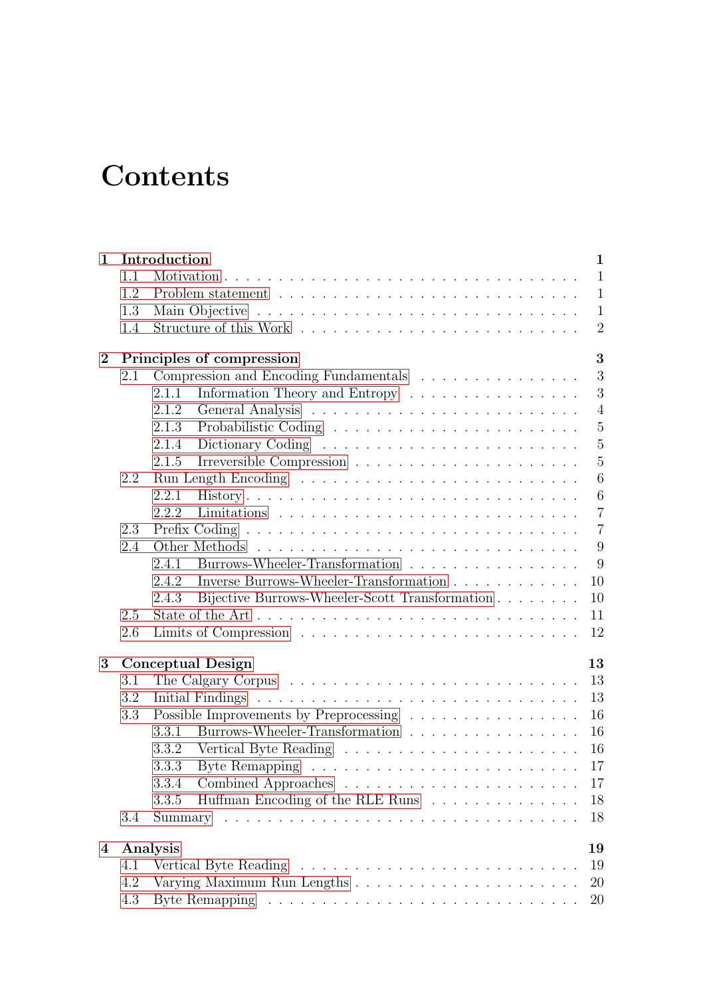## **Contents**

| $\mathbf{1}$   |     | Introduction                                            | $\mathbf{1}$   |
|----------------|-----|---------------------------------------------------------|----------------|
|                | 1.1 |                                                         | $\mathbf{1}$   |
|                | 1.2 |                                                         | $\mathbf{1}$   |
|                | 1.3 |                                                         | $\mathbf{1}$   |
|                | 1.4 |                                                         | $\overline{2}$ |
| $\overline{2}$ |     | Principles of compression                               | 3              |
|                | 2.1 | Compression and Encoding Fundamentals                   | 3              |
|                |     | Information Theory and Entropy<br>2.1.1                 | 3              |
|                |     | 2.1.2                                                   | $\overline{4}$ |
|                |     | 2.1.3                                                   | 5              |
|                |     | 2.1.4                                                   | $\overline{5}$ |
|                |     | 2.1.5                                                   | $\overline{5}$ |
|                | 2.2 |                                                         | 6              |
|                |     | 2.2.1                                                   | 6              |
|                |     | 2.2.2                                                   | $\overline{7}$ |
|                | 2.3 |                                                         | $\overline{7}$ |
|                | 2.4 |                                                         | 9              |
|                |     | Burrows-Wheeler-Transformation<br>2.4.1                 | 9              |
|                |     | Inverse Burrows-Wheeler-Transformation<br>2.4.2         | 10             |
|                |     | Bijective Burrows-Wheeler-Scott Transformation<br>2.4.3 | 10             |
|                | 2.5 |                                                         | 11             |
|                | 2.6 |                                                         | 12             |
| 3              |     | <b>Conceptual Design</b><br>13                          |                |
|                | 3.1 | 13                                                      |                |
|                | 3.2 |                                                         | 13             |
|                | 3.3 | Possible Improvements by Preprocessing                  | 16             |
|                |     | Burrows-Wheeler-Transformation<br>3.3.1                 | 16             |
|                |     | 16<br>3.3.2                                             |                |
|                |     | 17<br>3.3.3                                             |                |
|                |     |                                                         | 17             |
|                |     | Huffman Encoding of the RLE Runs<br>3.3.5               | 18             |
|                | 3.4 |                                                         | 18             |
|                |     |                                                         |                |
| $\overline{4}$ |     | 19<br>Analysis                                          |                |
|                | 4.1 |                                                         | 19             |
|                | 4.2 |                                                         | 20             |
|                | 4.3 |                                                         | 20             |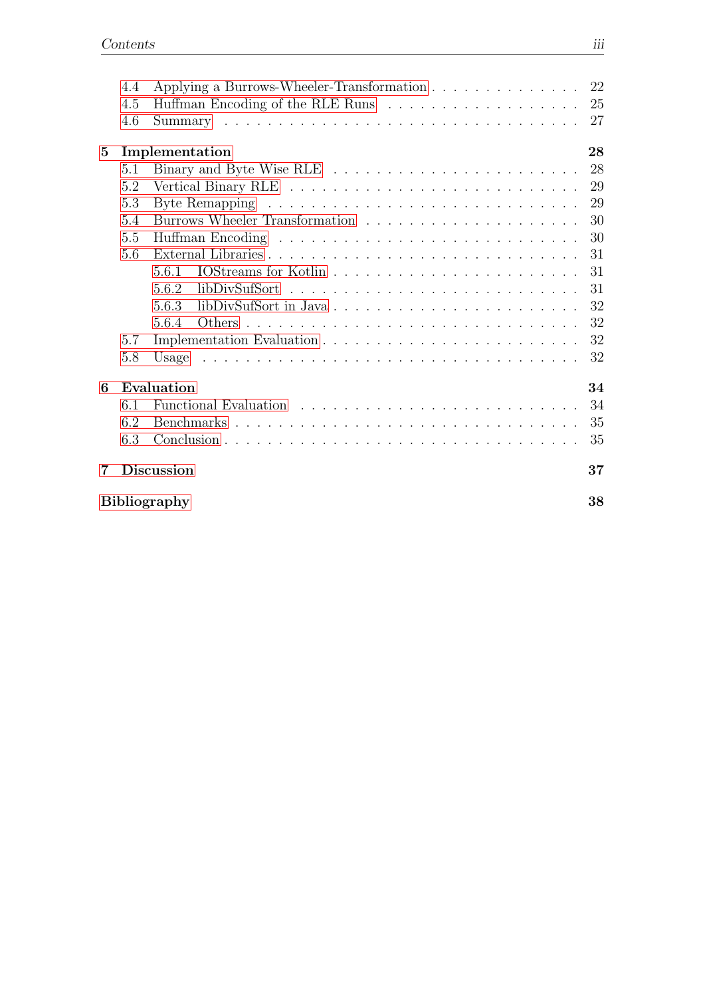|   | 4.4 | Applying a Burrows-Wheeler-Transformation 22 |    |
|---|-----|----------------------------------------------|----|
|   | 4.5 |                                              | 25 |
|   | 4.6 |                                              | 27 |
| 5 |     | Implementation                               | 28 |
|   | 5.1 |                                              | 28 |
|   | 5.2 |                                              | 29 |
|   | 5.3 |                                              | 29 |
|   | 5.4 |                                              | 30 |
|   | 5.5 |                                              | 30 |
|   | 5.6 |                                              | 31 |
|   |     | 5.6.1                                        | 31 |
|   |     | 5.6.2                                        | 31 |
|   |     | 5.6.3                                        | 32 |
|   |     | 5.6.4                                        | 32 |
|   | 5.7 |                                              | 32 |
|   | 5.8 |                                              | 32 |
| 6 |     | Evaluation                                   | 34 |
|   | 6.1 |                                              | 34 |
|   | 6.2 |                                              | 35 |
|   | 6.3 |                                              | 35 |
|   |     |                                              |    |
| 7 |     | <b>Discussion</b>                            | 37 |
|   |     | Bibliography                                 | 38 |
|   |     |                                              |    |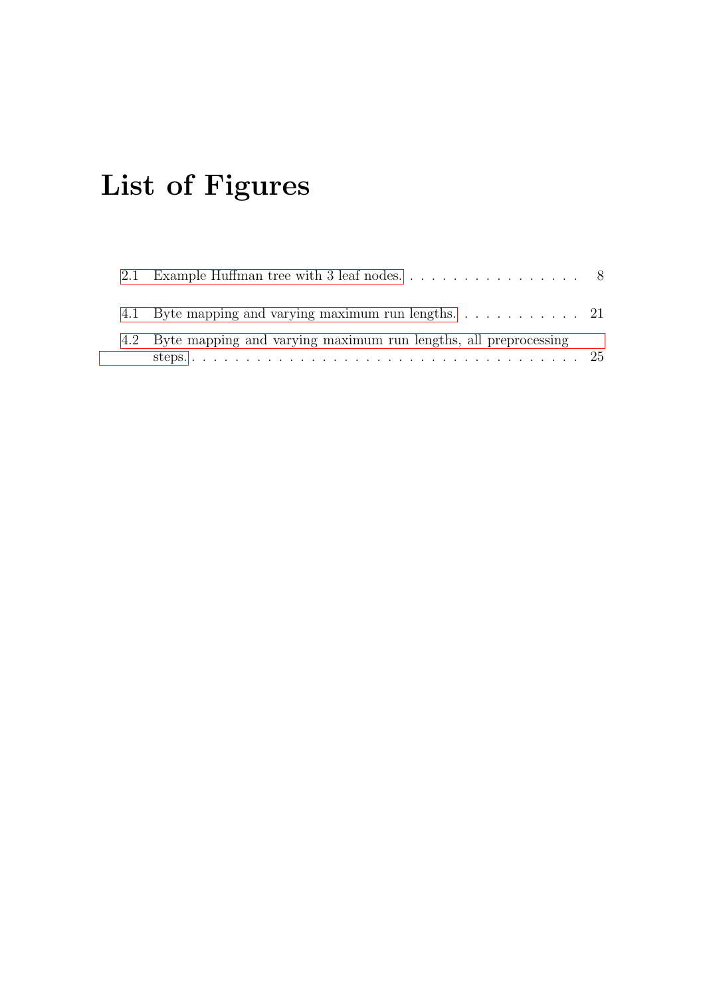# List of Figures

| 4.2 Byte mapping and varying maximum run lengths, all preprocessing |  |
|---------------------------------------------------------------------|--|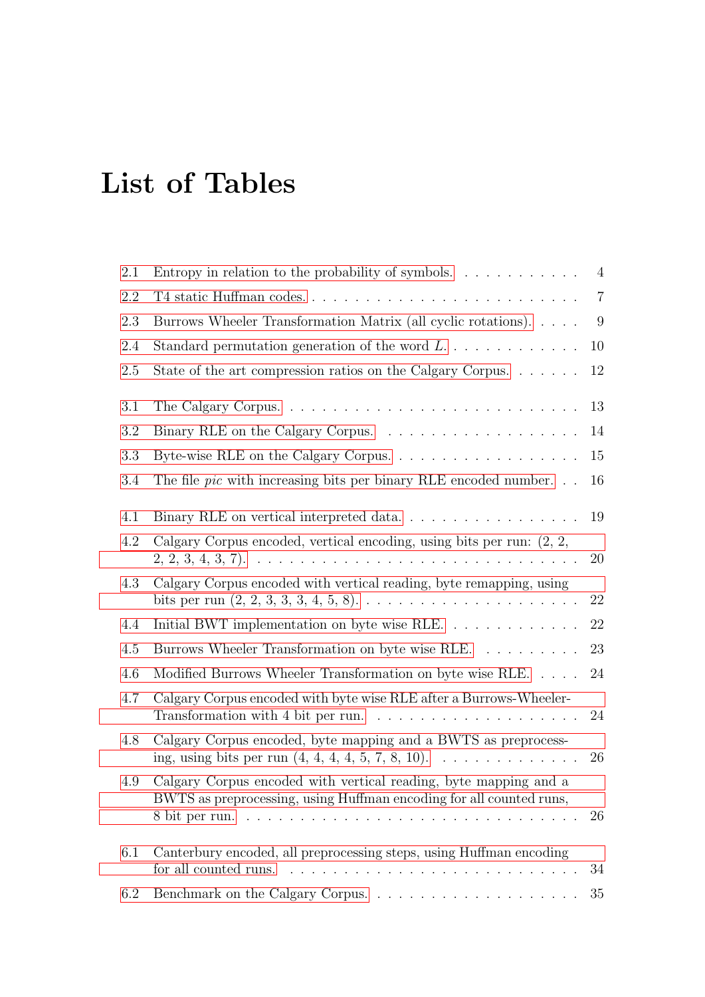# List of Tables

| 2.1 | Entropy in relation to the probability of symbols. $\dots \dots \dots$                                                                  | $\overline{4}$ |
|-----|-----------------------------------------------------------------------------------------------------------------------------------------|----------------|
| 2.2 |                                                                                                                                         | $\overline{7}$ |
| 2.3 | Burrows Wheeler Transformation Matrix (all cyclic rotations).                                                                           | 9              |
| 2.4 | Standard permutation generation of the word $L$                                                                                         | 10             |
| 2.5 | State of the art compression ratios on the Calgary Corpus                                                                               | 12             |
| 3.1 |                                                                                                                                         | 13             |
| 3.2 |                                                                                                                                         | 14             |
| 3.3 | Byte-wise RLE on the Calgary Corpus.                                                                                                    | 15             |
| 3.4 | The file <i>pic</i> with increasing bits per binary RLE encoded number. $\ldots$                                                        | 16             |
| 4.1 | Binary RLE on vertical interpreted data                                                                                                 | 19             |
| 4.2 | Calgary Corpus encoded, vertical encoding, using bits per run: $(2, 2, 3)$                                                              | 20             |
| 4.3 | Calgary Corpus encoded with vertical reading, byte remapping, using                                                                     | 22             |
| 4.4 | Initial BWT implementation on byte wise RLE.                                                                                            | 22             |
| 4.5 | Burrows Wheeler Transformation on byte wise RLE.                                                                                        | 23             |
| 4.6 | Modified Burrows Wheeler Transformation on byte wise RLE.                                                                               | 24             |
| 4.7 | Calgary Corpus encoded with byte wise RLE after a Burrows-Wheeler-                                                                      | 24             |
| 4.8 | Calgary Corpus encoded, byte mapping and a BWTS as preprocess-                                                                          | 26             |
| 4.9 | Calgary Corpus encoded with vertical reading, byte mapping and a<br>BWTS as preprocessing, using Huffman encoding for all counted runs, | 26             |
| 6.1 | Canterbury encoded, all preprocessing steps, using Huffman encoding                                                                     | 34             |
| 6.2 |                                                                                                                                         | 35             |
|     |                                                                                                                                         |                |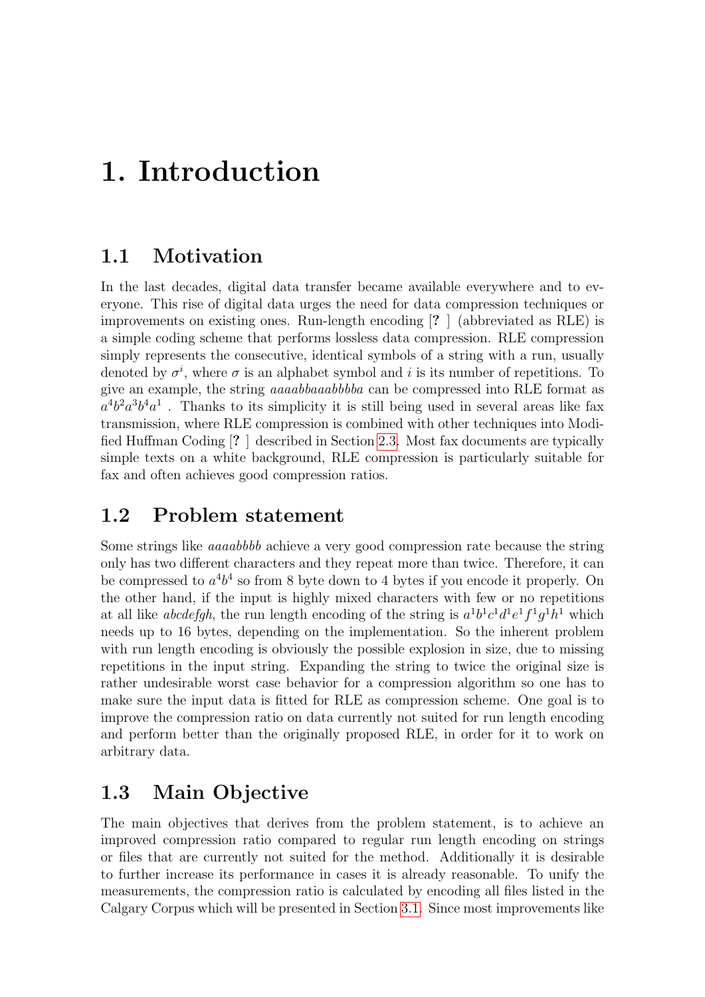## <span id="page-7-0"></span>1. Introduction

### <span id="page-7-1"></span>1.1 Motivation

In the last decades, digital data transfer became available everywhere and to everyone. This rise of digital data urges the need for data compression techniques or improvements on existing ones. Run-length encoding [? ] (abbreviated as RLE) is a simple coding scheme that performs lossless data compression. RLE compression simply represents the consecutive, identical symbols of a string with a run, usually denoted by  $\sigma^i$ , where  $\sigma$  is an alphabet symbol and i is its number of repetitions. To give an example, the string aaaabbaaabbbba can be compressed into RLE format as  $a^4b^2a^3b^4a^1$ . Thanks to its simplicity it is still being used in several areas like fax transmission, where RLE compression is combined with other techniques into Modified Huffman Coding [? ] described in Section [2.3.](#page-13-1) Most fax documents are typically simple texts on a white background, RLE compression is particularly suitable for fax and often achieves good compression ratios.

### <span id="page-7-2"></span>1.2 Problem statement

Some strings like aaaabbbb achieve a very good compression rate because the string only has two different characters and they repeat more than twice. Therefore, it can be compressed to  $a^4b^4$  so from 8 byte down to 4 bytes if you encode it properly. On the other hand, if the input is highly mixed characters with few or no repetitions at all like *abcdefgh*, the run length encoding of the string is  $a^1b^1c^1d^1e^1f^1g^1h^1$  which needs up to 16 bytes, depending on the implementation. So the inherent problem with run length encoding is obviously the possible explosion in size, due to missing repetitions in the input string. Expanding the string to twice the original size is rather undesirable worst case behavior for a compression algorithm so one has to make sure the input data is fitted for RLE as compression scheme. One goal is to improve the compression ratio on data currently not suited for run length encoding and perform better than the originally proposed RLE, in order for it to work on arbitrary data.

### <span id="page-7-3"></span>1.3 Main Objective

The main objectives that derives from the problem statement, is to achieve an improved compression ratio compared to regular run length encoding on strings or files that are currently not suited for the method. Additionally it is desirable to further increase its performance in cases it is already reasonable. To unify the measurements, the compression ratio is calculated by encoding all files listed in the Calgary Corpus which will be presented in Section [3.1.](#page-19-3) Since most improvements like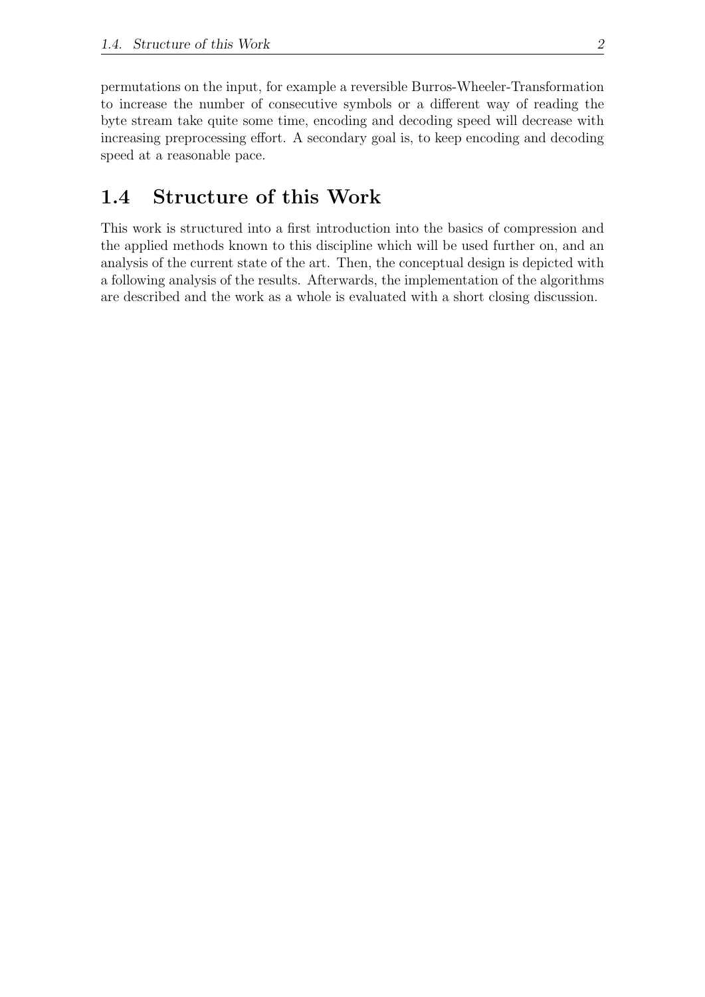permutations on the input, for example a reversible Burros-Wheeler-Transformation to increase the number of consecutive symbols or a different way of reading the byte stream take quite some time, encoding and decoding speed will decrease with increasing preprocessing effort. A secondary goal is, to keep encoding and decoding speed at a reasonable pace.

### <span id="page-8-0"></span>1.4 Structure of this Work

This work is structured into a first introduction into the basics of compression and the applied methods known to this discipline which will be used further on, and an analysis of the current state of the art. Then, the conceptual design is depicted with a following analysis of the results. Afterwards, the implementation of the algorithms are described and the work as a whole is evaluated with a short closing discussion.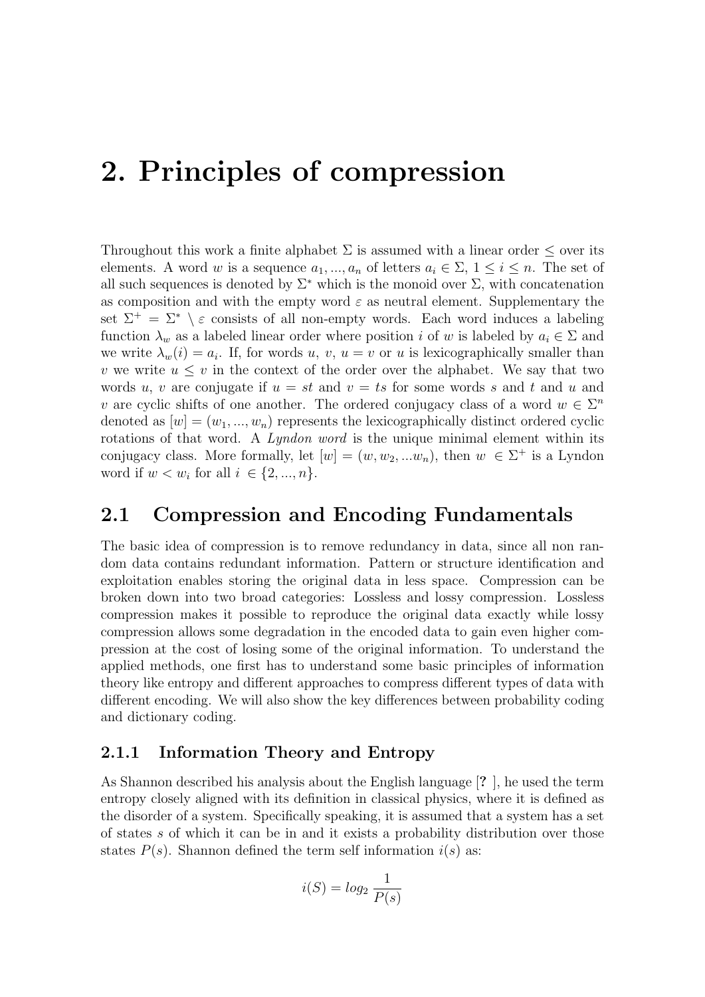## <span id="page-9-0"></span>2. Principles of compression

Throughout this work a finite alphabet  $\Sigma$  is assumed with a linear order  $\leq$  over its elements. A word w is a sequence  $a_1, ..., a_n$  of letters  $a_i \in \Sigma$ ,  $1 \leq i \leq n$ . The set of all such sequences is denoted by  $\Sigma^*$  which is the monoid over  $\Sigma$ , with concatenation as composition and with the empty word  $\varepsilon$  as neutral element. Supplementary the set  $\Sigma^+ = \Sigma^* \setminus \varepsilon$  consists of all non-empty words. Each word induces a labeling function  $\lambda_w$  as a labeled linear order where position i of w is labeled by  $a_i \in \Sigma$  and we write  $\lambda_w(i) = a_i$ . If, for words u, v,  $u = v$  or u is lexicographically smaller than v we write  $u \leq v$  in the context of the order over the alphabet. We say that two words u, v are conjugate if  $u = st$  and  $v = ts$  for some words s and t and u and v are cyclic shifts of one another. The ordered conjugacy class of a word  $w \in \Sigma^n$ denoted as  $[w] = (w_1, ..., w_n)$  represents the lexicographically distinct ordered cyclic rotations of that word. A *Lyndon word* is the unique minimal element within its conjugacy class. More formally, let  $[w] = (w, w_2, ... w_n)$ , then  $w \in \Sigma^+$  is a Lyndon word if  $w < w_i$  for all  $i \in \{2, ..., n\}$ .

#### <span id="page-9-1"></span>2.1 Compression and Encoding Fundamentals

The basic idea of compression is to remove redundancy in data, since all non random data contains redundant information. Pattern or structure identification and exploitation enables storing the original data in less space. Compression can be broken down into two broad categories: Lossless and lossy compression. Lossless compression makes it possible to reproduce the original data exactly while lossy compression allows some degradation in the encoded data to gain even higher compression at the cost of losing some of the original information. To understand the applied methods, one first has to understand some basic principles of information theory like entropy and different approaches to compress different types of data with different encoding. We will also show the key differences between probability coding and dictionary coding.

#### <span id="page-9-2"></span>2.1.1 Information Theory and Entropy

As Shannon described his analysis about the English language [? ], he used the term entropy closely aligned with its definition in classical physics, where it is defined as the disorder of a system. Specifically speaking, it is assumed that a system has a set of states s of which it can be in and it exists a probability distribution over those states  $P(s)$ . Shannon defined the term self information  $i(s)$  as:

$$
i(S) = log_2 \frac{1}{P(s)}
$$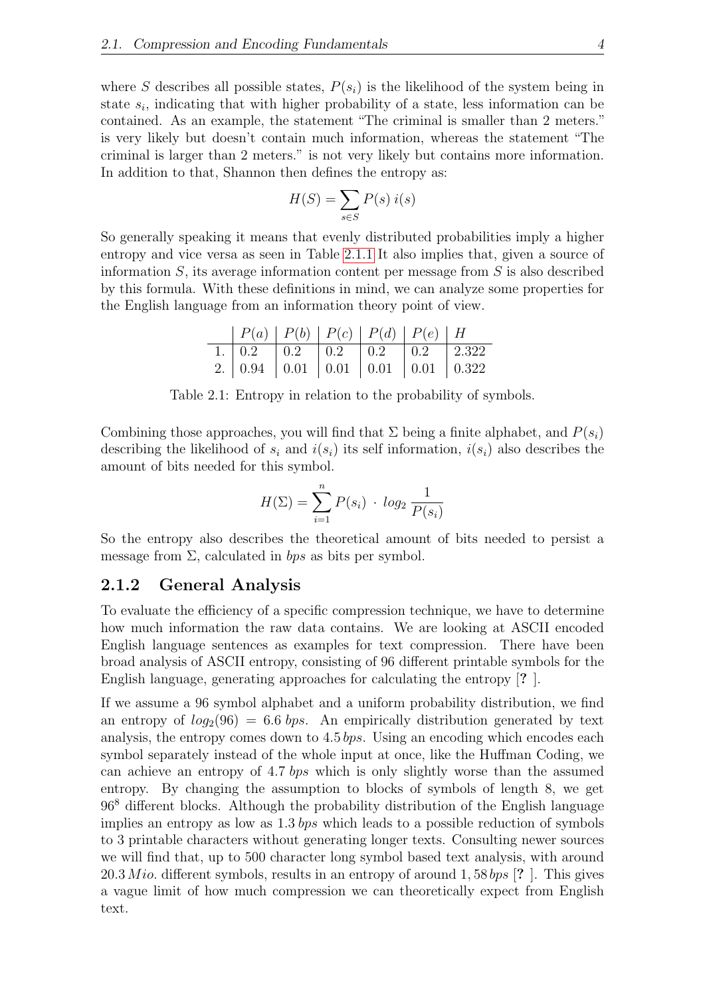where S describes all possible states,  $P(s_i)$  is the likelihood of the system being in state  $s_i$ , indicating that with higher probability of a state, less information can be contained. As an example, the statement "The criminal is smaller than 2 meters." is very likely but doesn't contain much information, whereas the statement "The criminal is larger than 2 meters." is not very likely but contains more information. In addition to that, Shannon then defines the entropy as:

<span id="page-10-1"></span>
$$
H(S) = \sum_{s \in S} P(s) i(s)
$$

So generally speaking it means that evenly distributed probabilities imply a higher entropy and vice versa as seen in Table [2.1.1](#page-9-2) It also implies that, given a source of information  $S$ , its average information content per message from  $S$  is also described by this formula. With these definitions in mind, we can analyze some properties for the English language from an information theory point of view.

| P(a)   P(b)   P(c)   P(d)   P(e)   H     |  |  |  |
|------------------------------------------|--|--|--|
| 1.   0.2   0.2   0.2   0.2   0.2   2.322 |  |  |  |
| 2. 0.94 0.01 0.01 0.01 0.01 0.01 0.322   |  |  |  |

Table 2.1: Entropy in relation to the probability of symbols.

Combining those approaches, you will find that  $\Sigma$  being a finite alphabet, and  $P(s_i)$ describing the likelihood of  $s_i$  and  $i(s_i)$  its self information,  $i(s_i)$  also describes the amount of bits needed for this symbol.

$$
H(\Sigma) = \sum_{i=1}^{n} P(s_i) \cdot log_2 \frac{1}{P(s_i)}
$$

So the entropy also describes the theoretical amount of bits needed to persist a message from  $\Sigma$ , calculated in bps as bits per symbol.

#### <span id="page-10-0"></span>2.1.2 General Analysis

To evaluate the efficiency of a specific compression technique, we have to determine how much information the raw data contains. We are looking at ASCII encoded English language sentences as examples for text compression. There have been broad analysis of ASCII entropy, consisting of 96 different printable symbols for the English language, generating approaches for calculating the entropy [? ].

If we assume a 96 symbol alphabet and a uniform probability distribution, we find an entropy of  $log_2(96) = 6.6$  bps. An empirically distribution generated by text analysis, the entropy comes down to 4.5 bps. Using an encoding which encodes each symbol separately instead of the whole input at once, like the Huffman Coding, we can achieve an entropy of 4.7 bps which is only slightly worse than the assumed entropy. By changing the assumption to blocks of symbols of length 8, we get 96<sup>8</sup> different blocks. Although the probability distribution of the English language implies an entropy as low as 1.3 bps which leads to a possible reduction of symbols to 3 printable characters without generating longer texts. Consulting newer sources we will find that, up to 500 character long symbol based text analysis, with around  $20.3\,Mio.$  different symbols, results in an entropy of around  $1,58\,bps$  [? ]. This gives a vague limit of how much compression we can theoretically expect from English text.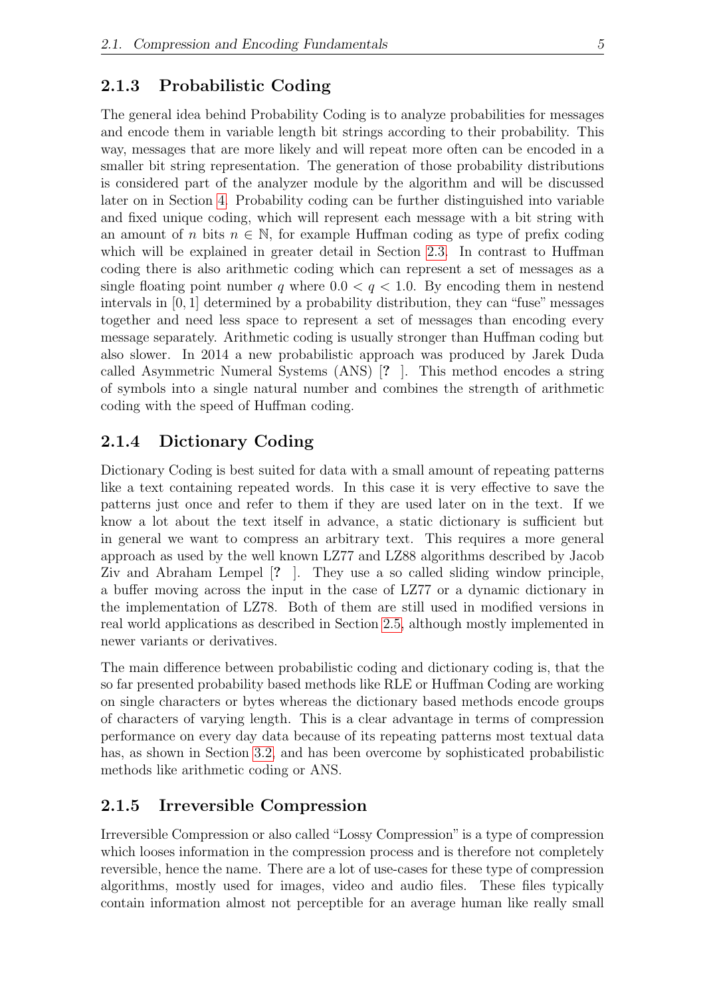#### <span id="page-11-0"></span>2.1.3 Probabilistic Coding

The general idea behind Probability Coding is to analyze probabilities for messages and encode them in variable length bit strings according to their probability. This way, messages that are more likely and will repeat more often can be encoded in a smaller bit string representation. The generation of those probability distributions is considered part of the analyzer module by the algorithm and will be discussed later on in Section [4.](#page-25-0) Probability coding can be further distinguished into variable and fixed unique coding, which will represent each message with a bit string with an amount of n bits  $n \in \mathbb{N}$ , for example Huffman coding as type of prefix coding which will be explained in greater detail in Section [2.3.](#page-13-1) In contrast to Huffman coding there is also arithmetic coding which can represent a set of messages as a single floating point number q where  $0.0 < q < 1.0$ . By encoding them in nestend intervals in [0, 1] determined by a probability distribution, they can "fuse" messages together and need less space to represent a set of messages than encoding every message separately. Arithmetic coding is usually stronger than Huffman coding but also slower. In 2014 a new probabilistic approach was produced by Jarek Duda called Asymmetric Numeral Systems (ANS) [? ]. This method encodes a string of symbols into a single natural number and combines the strength of arithmetic coding with the speed of Huffman coding.

#### <span id="page-11-1"></span>2.1.4 Dictionary Coding

Dictionary Coding is best suited for data with a small amount of repeating patterns like a text containing repeated words. In this case it is very effective to save the patterns just once and refer to them if they are used later on in the text. If we know a lot about the text itself in advance, a static dictionary is sufficient but in general we want to compress an arbitrary text. This requires a more general approach as used by the well known LZ77 and LZ88 algorithms described by Jacob Ziv and Abraham Lempel [? ]. They use a so called sliding window principle, a buffer moving across the input in the case of LZ77 or a dynamic dictionary in the implementation of LZ78. Both of them are still used in modified versions in real world applications as described in Section [2.5,](#page-17-0) although mostly implemented in newer variants or derivatives.

The main difference between probabilistic coding and dictionary coding is, that the so far presented probability based methods like RLE or Huffman Coding are working on single characters or bytes whereas the dictionary based methods encode groups of characters of varying length. This is a clear advantage in terms of compression performance on every day data because of its repeating patterns most textual data has, as shown in Section [3.2,](#page-19-2) and has been overcome by sophisticated probabilistic methods like arithmetic coding or ANS.

#### <span id="page-11-2"></span>2.1.5 Irreversible Compression

Irreversible Compression or also called "Lossy Compression" is a type of compression which looses information in the compression process and is therefore not completely reversible, hence the name. There are a lot of use-cases for these type of compression algorithms, mostly used for images, video and audio files. These files typically contain information almost not perceptible for an average human like really small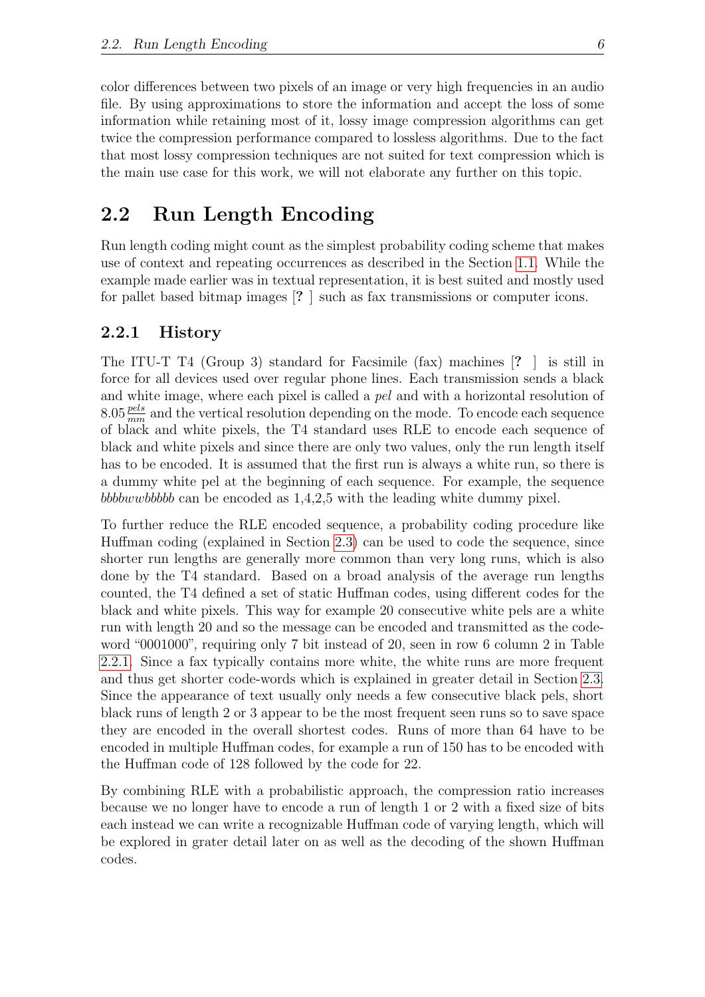color differences between two pixels of an image or very high frequencies in an audio file. By using approximations to store the information and accept the loss of some information while retaining most of it, lossy image compression algorithms can get twice the compression performance compared to lossless algorithms. Due to the fact that most lossy compression techniques are not suited for text compression which is the main use case for this work, we will not elaborate any further on this topic.

### <span id="page-12-0"></span>2.2 Run Length Encoding

Run length coding might count as the simplest probability coding scheme that makes use of context and repeating occurrences as described in the Section [1.1.](#page-7-1) While the example made earlier was in textual representation, it is best suited and mostly used for pallet based bitmap images [? ] such as fax transmissions or computer icons.

#### <span id="page-12-1"></span>2.2.1 History

The ITU-T T4 (Group 3) standard for Facsimile (fax) machines [? ] is still in force for all devices used over regular phone lines. Each transmission sends a black and white image, where each pixel is called a *pel* and with a horizontal resolution of  $8.05 \frac{pels}{mm}$  and the vertical resolution depending on the mode. To encode each sequence of black and white pixels, the T4 standard uses RLE to encode each sequence of black and white pixels and since there are only two values, only the run length itself has to be encoded. It is assumed that the first run is always a white run, so there is a dummy white pel at the beginning of each sequence. For example, the sequence bbbbwwbbbbb can be encoded as 1,4,2,5 with the leading white dummy pixel.

To further reduce the RLE encoded sequence, a probability coding procedure like Huffman coding (explained in Section [2.3\)](#page-13-1) can be used to code the sequence, since shorter run lengths are generally more common than very long runs, which is also done by the T4 standard. Based on a broad analysis of the average run lengths counted, the T4 defined a set of static Huffman codes, using different codes for the black and white pixels. This way for example 20 consecutive white pels are a white run with length 20 and so the message can be encoded and transmitted as the codeword "0001000", requiring only 7 bit instead of 20, seen in row 6 column 2 in Table [2.2.1.](#page-12-1) Since a fax typically contains more white, the white runs are more frequent and thus get shorter code-words which is explained in greater detail in Section [2.3.](#page-13-1) Since the appearance of text usually only needs a few consecutive black pels, short black runs of length 2 or 3 appear to be the most frequent seen runs so to save space they are encoded in the overall shortest codes. Runs of more than 64 have to be encoded in multiple Huffman codes, for example a run of 150 has to be encoded with the Huffman code of 128 followed by the code for 22.

By combining RLE with a probabilistic approach, the compression ratio increases because we no longer have to encode a run of length 1 or 2 with a fixed size of bits each instead we can write a recognizable Huffman code of varying length, which will be explored in grater detail later on as well as the decoding of the shown Huffman codes.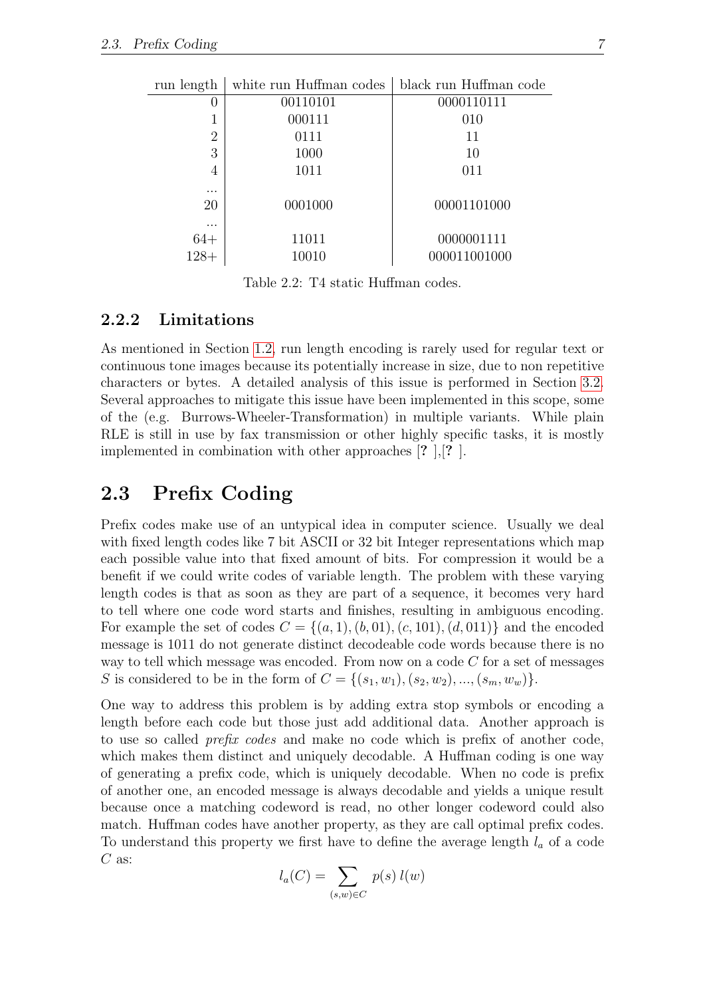| run length       | white run Huffman codes | black run Huffman code |
|------------------|-------------------------|------------------------|
| $\left( \right)$ | 00110101                | 0000110111             |
|                  | 000111                  | 010                    |
| $\overline{2}$   | 0111                    | 11                     |
| 3                | 1000                    | 10                     |
| 4                | 1011                    | 011                    |
| $\cdots$         |                         |                        |
| 20               | 0001000                 | 00001101000            |
| $\cdots$         |                         |                        |
| $64+$            | 11011                   | 0000001111             |
| $128+$           | 10010                   | 000011001000           |
|                  |                         |                        |

<span id="page-13-2"></span>Table 2.2: T4 static Huffman codes.

#### <span id="page-13-0"></span>2.2.2 Limitations

As mentioned in Section [1.2,](#page-7-2) run length encoding is rarely used for regular text or continuous tone images because its potentially increase in size, due to non repetitive characters or bytes. A detailed analysis of this issue is performed in Section [3.2.](#page-19-2) Several approaches to mitigate this issue have been implemented in this scope, some of the (e.g. Burrows-Wheeler-Transformation) in multiple variants. While plain RLE is still in use by fax transmission or other highly specific tasks, it is mostly implemented in combination with other approaches [? ],[? ].

### <span id="page-13-1"></span>2.3 Prefix Coding

Prefix codes make use of an untypical idea in computer science. Usually we deal with fixed length codes like 7 bit ASCII or 32 bit Integer representations which map each possible value into that fixed amount of bits. For compression it would be a benefit if we could write codes of variable length. The problem with these varying length codes is that as soon as they are part of a sequence, it becomes very hard to tell where one code word starts and finishes, resulting in ambiguous encoding. For example the set of codes  $C = \{(a, 1), (b, 01), (c, 101), (d, 011)\}\$  and the encoded message is 1011 do not generate distinct decodeable code words because there is no way to tell which message was encoded. From now on a code  $C$  for a set of messages S is considered to be in the form of  $C = \{(s_1, w_1), (s_2, w_2), ..., (s_m, w_w)\}.$ 

One way to address this problem is by adding extra stop symbols or encoding a length before each code but those just add additional data. Another approach is to use so called *prefix codes* and make no code which is prefix of another code, which makes them distinct and uniquely decodable. A Huffman coding is one way of generating a prefix code, which is uniquely decodable. When no code is prefix of another one, an encoded message is always decodable and yields a unique result because once a matching codeword is read, no other longer codeword could also match. Huffman codes have another property, as they are call optimal prefix codes. To understand this property we first have to define the average length  $l_a$  of a code  $C$  as:

$$
l_a(C) = \sum_{(s,w)\in C} p(s) l(w)
$$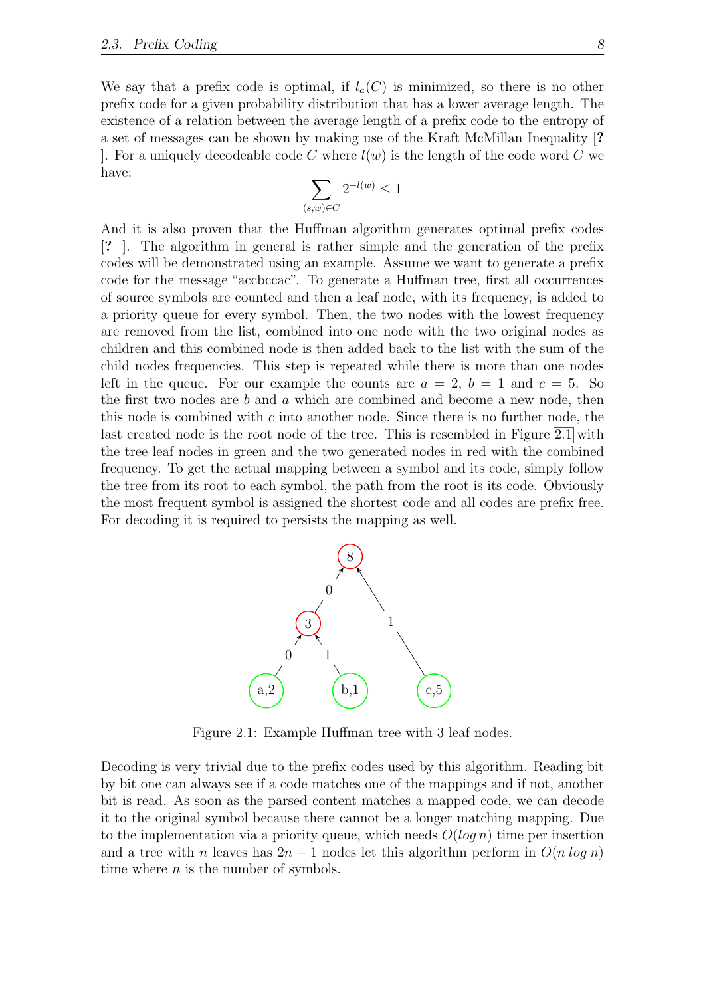We say that a prefix code is optimal, if  $l_a(C)$  is minimized, so there is no other prefix code for a given probability distribution that has a lower average length. The existence of a relation between the average length of a prefix code to the entropy of a set of messages can be shown by making use of the Kraft McMillan Inequality [? . For a uniquely decodeable code C where  $l(w)$  is the length of the code word C we have:

$$
\sum_{(s,w)\in C} 2^{-l(w)} \le 1
$$

And it is also proven that the Huffman algorithm generates optimal prefix codes [? ]. The algorithm in general is rather simple and the generation of the prefix codes will be demonstrated using an example. Assume we want to generate a prefix code for the message "accbccac". To generate a Huffman tree, first all occurrences of source symbols are counted and then a leaf node, with its frequency, is added to a priority queue for every symbol. Then, the two nodes with the lowest frequency are removed from the list, combined into one node with the two original nodes as children and this combined node is then added back to the list with the sum of the child nodes frequencies. This step is repeated while there is more than one nodes left in the queue. For our example the counts are  $a = 2$ ,  $b = 1$  and  $c = 5$ . So the first two nodes are b and a which are combined and become a new node, then this node is combined with  $c$  into another node. Since there is no further node, the last created node is the root node of the tree. This is resembled in Figure [2.1](#page-14-0) with the tree leaf nodes in green and the two generated nodes in red with the combined frequency. To get the actual mapping between a symbol and its code, simply follow the tree from its root to each symbol, the path from the root is its code. Obviously the most frequent symbol is assigned the shortest code and all codes are prefix free. For decoding it is required to persists the mapping as well.



<span id="page-14-0"></span>Figure 2.1: Example Huffman tree with 3 leaf nodes.

Decoding is very trivial due to the prefix codes used by this algorithm. Reading bit by bit one can always see if a code matches one of the mappings and if not, another bit is read. As soon as the parsed content matches a mapped code, we can decode it to the original symbol because there cannot be a longer matching mapping. Due to the implementation via a priority queue, which needs  $O(log n)$  time per insertion and a tree with n leaves has  $2n-1$  nodes let this algorithm perform in  $O(n \log n)$ time where  $n$  is the number of symbols.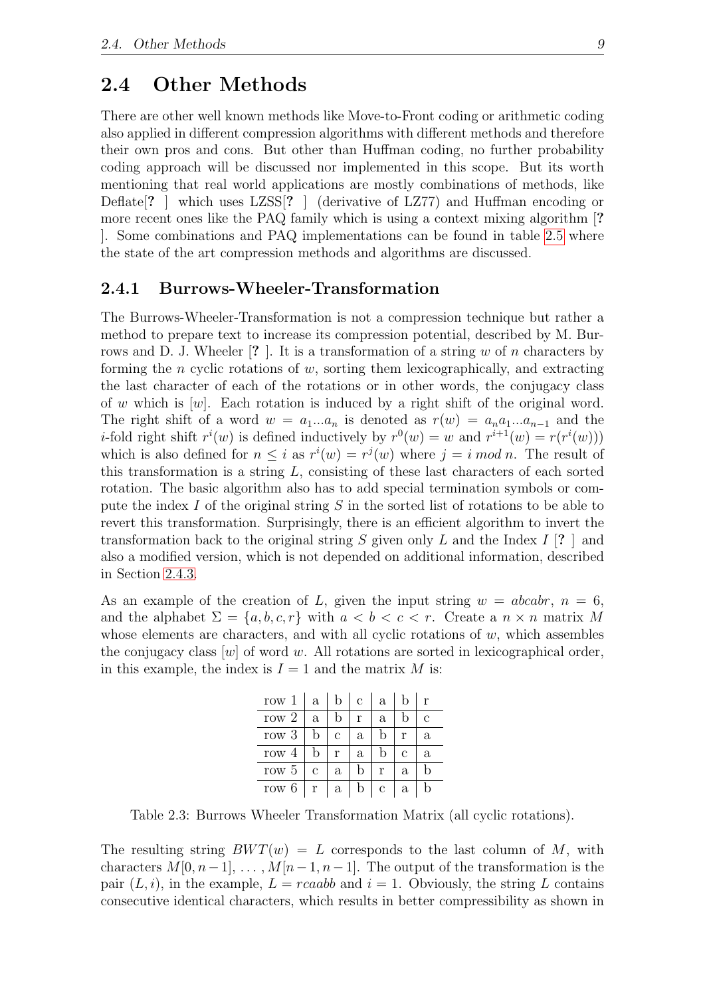#### <span id="page-15-0"></span>2.4 Other Methods

There are other well known methods like Move-to-Front coding or arithmetic coding also applied in different compression algorithms with different methods and therefore their own pros and cons. But other than Huffman coding, no further probability coding approach will be discussed nor implemented in this scope. But its worth mentioning that real world applications are mostly combinations of methods, like Deflate<sup>[?]</sup> which uses LZSS<sup>[?]</sup> (derivative of LZ77) and Huffman encoding or more recent ones like the PAQ family which is using a context mixing algorithm [? ]. Some combinations and PAQ implementations can be found in table [2.5](#page-17-0) where the state of the art compression methods and algorithms are discussed.

#### <span id="page-15-1"></span>2.4.1 Burrows-Wheeler-Transformation

The Burrows-Wheeler-Transformation is not a compression technique but rather a method to prepare text to increase its compression potential, described by M. Burrows and D. J. Wheeler  $\lceil ? \rceil$ . It is a transformation of a string w of n characters by forming the *n* cyclic rotations of  $w$ , sorting them lexicographically, and extracting the last character of each of the rotations or in other words, the conjugacy class of w which is  $[w]$ . Each rotation is induced by a right shift of the original word. The right shift of a word  $w = a_1...a_n$  is denoted as  $r(w) = a_na_1...a_{n-1}$  and the *i*-fold right shift  $r^i(w)$  is defined inductively by  $r^0(w) = w$  and  $r^{i+1}(w) = r(r^i(w))$ which is also defined for  $n \leq i$  as  $r^i(w) = r^j(w)$  where  $j = i \mod n$ . The result of this transformation is a string  $L$ , consisting of these last characters of each sorted rotation. The basic algorithm also has to add special termination symbols or compute the index I of the original string S in the sorted list of rotations to be able to revert this transformation. Surprisingly, there is an efficient algorithm to invert the transformation back to the original string S given only L and the Index I [? ] and also a modified version, which is not depended on additional information, described in Section [2.4.3.](#page-16-1)

As an example of the creation of L, given the input string  $w = abcabr$ ,  $n = 6$ , and the alphabet  $\Sigma = \{a, b, c, r\}$  with  $a < b < c < r$ . Create a  $n \times n$  matrix M whose elements are characters, and with all cyclic rotations of  $w$ , which assembles the conjugacy class  $[w]$  of word w. All rotations are sorted in lexicographical order, in this example, the index is  $I = 1$  and the matrix M is:

<span id="page-15-2"></span>

| row 1   | a | D            | С            | a |   |             |
|---------|---|--------------|--------------|---|---|-------------|
| row $2$ | a | h            | r            | a |   | $\mathbf c$ |
| row 3   | b | C            | a            |   | r | a           |
| row $4$ | b | r            | $\mathbf{a}$ |   | С | a           |
| row 5   | с | a            | b            | r | a |             |
| row 6   | r | $\mathbf{a}$ | b            | с | a |             |

Table 2.3: Burrows Wheeler Transformation Matrix (all cyclic rotations).

The resulting string  $BWT(w) = L$  corresponds to the last column of M, with characters  $M[0, n-1], \ldots, M[n-1, n-1]$ . The output of the transformation is the pair  $(L, i)$ , in the example,  $L = rcaabb$  and  $i = 1$ . Obviously, the string L contains consecutive identical characters, which results in better compressibility as shown in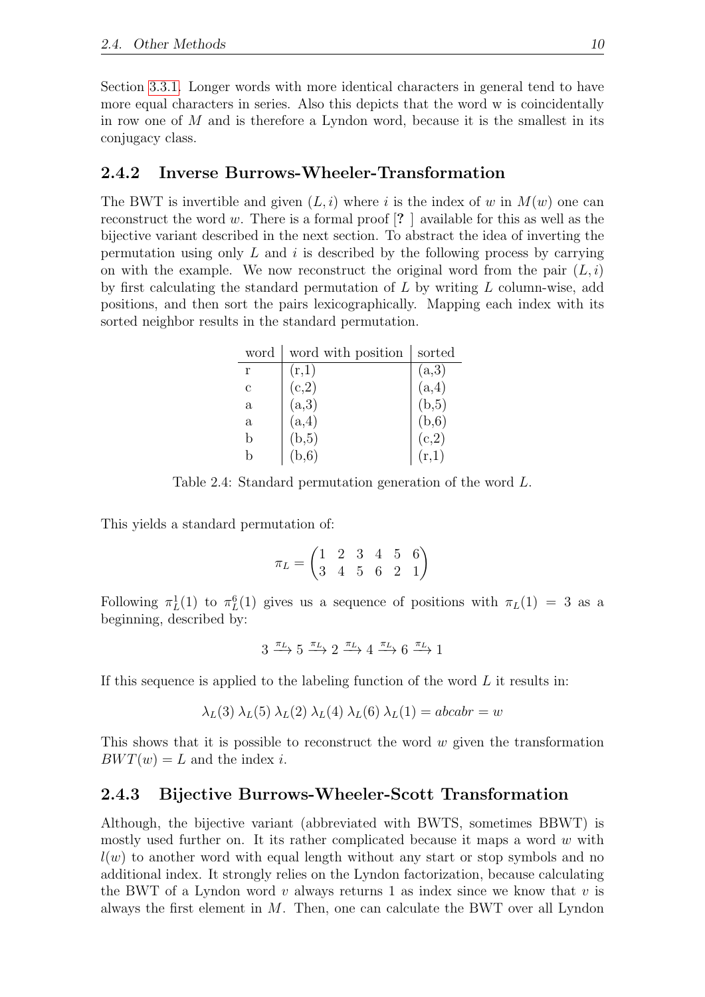Section [3.3.1.](#page-22-1) Longer words with more identical characters in general tend to have more equal characters in series. Also this depicts that the word w is coincidentally in row one of  $M$  and is therefore a Lyndon word, because it is the smallest in its conjugacy class.

#### <span id="page-16-0"></span>2.4.2 Inverse Burrows-Wheeler-Transformation

The BWT is invertible and given  $(L, i)$  where i is the index of w in  $M(w)$  one can reconstruct the word w. There is a formal proof  $[? \]$  available for this as well as the bijective variant described in the next section. To abstract the idea of inverting the permutation using only  $L$  and  $i$  is described by the following process by carrying on with the example. We now reconstruct the original word from the pair  $(L, i)$ by first calculating the standard permutation of L by writing L column-wise, add positions, and then sort the pairs lexicographically. Mapping each index with its sorted neighbor results in the standard permutation.

<span id="page-16-2"></span>

| word | word with position | sorted |
|------|--------------------|--------|
| r    | (r,1)              | (a,3)  |
| C    | (c,2)              | (a,4)  |
| a    | (a,3)              | (b, 5) |
| a    | (a,4)              | (b, 6) |
| b    | (b, 5)             | (c,2)  |
| h    | (b,6)              | (r,1)  |

Table 2.4: Standard permutation generation of the word L.

This yields a standard permutation of:

$$
\pi_L = \begin{pmatrix} 1 & 2 & 3 & 4 & 5 & 6 \\ 3 & 4 & 5 & 6 & 2 & 1 \end{pmatrix}
$$

Following  $\pi_L^1(1)$  to  $\pi_L^6(1)$  gives us a sequence of positions with  $\pi_L(1) = 3$  as a beginning, described by:

$$
3\xrightarrow{\pi_L}5\xrightarrow{\pi_L}2\xrightarrow{\pi_L}4\xrightarrow{\pi_L}6\xrightarrow{\pi_L}1
$$

If this sequence is applied to the labeling function of the word  $L$  it results in:

$$
\lambda_L(3) \lambda_L(5) \lambda_L(2) \lambda_L(4) \lambda_L(6) \lambda_L(1) = abcabr = w
$$

This shows that it is possible to reconstruct the word  $w$  given the transformation  $BWT(w) = L$  and the index i.

#### <span id="page-16-1"></span>2.4.3 Bijective Burrows-Wheeler-Scott Transformation

Although, the bijective variant (abbreviated with BWTS, sometimes BBWT) is mostly used further on. It its rather complicated because it maps a word  $w$  with  $l(w)$  to another word with equal length without any start or stop symbols and no additional index. It strongly relies on the Lyndon factorization, because calculating the BWT of a Lyndon word v always returns 1 as index since we know that v is always the first element in  $M$ . Then, one can calculate the BWT over all Lyndon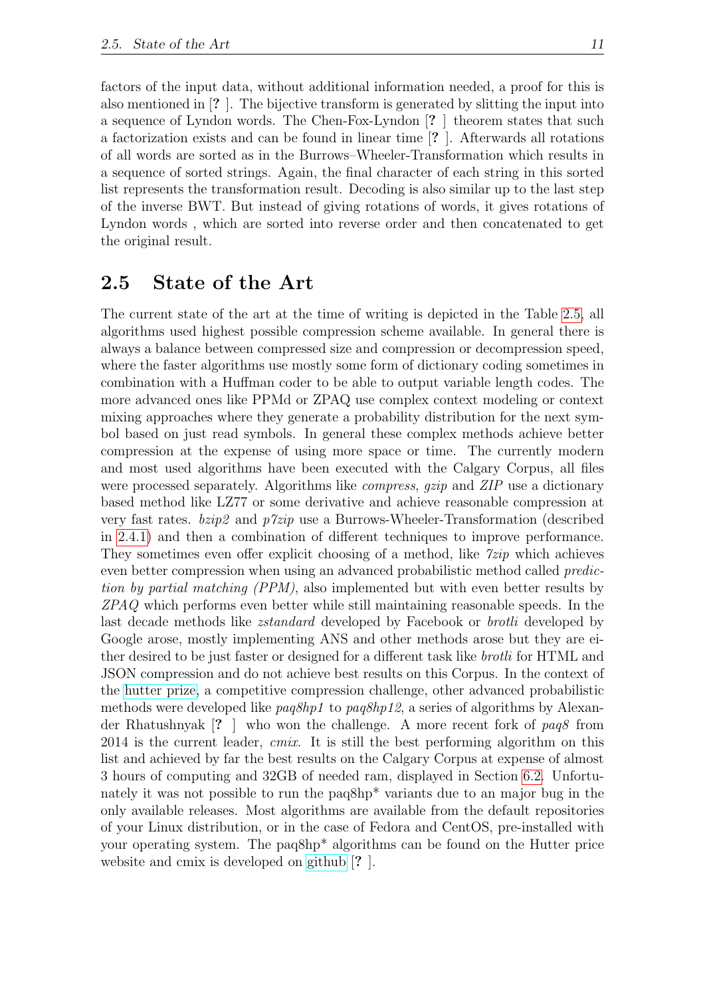factors of the input data, without additional information needed, a proof for this is also mentioned in [? ]. The bijective transform is generated by slitting the input into a sequence of Lyndon words. The Chen-Fox-Lyndon [? ] theorem states that such a factorization exists and can be found in linear time [? ]. Afterwards all rotations of all words are sorted as in the Burrows–Wheeler-Transformation which results in a sequence of sorted strings. Again, the final character of each string in this sorted list represents the transformation result. Decoding is also similar up to the last step of the inverse BWT. But instead of giving rotations of words, it gives rotations of Lyndon words , which are sorted into reverse order and then concatenated to get the original result.

#### <span id="page-17-0"></span>2.5 State of the Art

The current state of the art at the time of writing is depicted in the Table [2.5,](#page-17-0) all algorithms used highest possible compression scheme available. In general there is always a balance between compressed size and compression or decompression speed, where the faster algorithms use mostly some form of dictionary coding sometimes in combination with a Huffman coder to be able to output variable length codes. The more advanced ones like PPMd or ZPAQ use complex context modeling or context mixing approaches where they generate a probability distribution for the next symbol based on just read symbols. In general these complex methods achieve better compression at the expense of using more space or time. The currently modern and most used algorithms have been executed with the Calgary Corpus, all files were processed separately. Algorithms like *compress*, gzip and ZIP use a dictionary based method like LZ77 or some derivative and achieve reasonable compression at very fast rates.  $bzip2$  and  $p7zip$  use a Burrows-Wheeler-Transformation (described in [2.4.1\)](#page-15-1) and then a combination of different techniques to improve performance. They sometimes even offer explicit choosing of a method, like  $\tilde{z}$ ip which achieves even better compression when using an advanced probabilistic method called *predic*tion by partial matching (PPM), also implemented but with even better results by ZPAQ which performs even better while still maintaining reasonable speeds. In the last decade methods like *zstandard* developed by Facebook or *brotli* developed by Google arose, mostly implementing ANS and other methods arose but they are either desired to be just faster or designed for a different task like *brotli* for HTML and JSON compression and do not achieve best results on this Corpus. In the context of the [hutter prize,](http://prize.hutter1.net/) a competitive compression challenge, other advanced probabilistic methods were developed like  $paq8hp1$  to  $paq8hp12$ , a series of algorithms by Alexander Rhatushnyak [? ] who won the challenge. A more recent fork of paq8 from  $2014$  is the current leader, *cmix*. It is still the best performing algorithm on this list and achieved by far the best results on the Calgary Corpus at expense of almost 3 hours of computing and 32GB of needed ram, displayed in Section [6.2.](#page-41-0) Unfortunately it was not possible to run the paq8hp<sup>\*</sup> variants due to an major bug in the only available releases. Most algorithms are available from the default repositories of your Linux distribution, or in the case of Fedora and CentOS, pre-installed with your operating system. The paq8hp\* algorithms can be found on the Hutter price website and cmix is developed on [github](https://github.com/byronknoll/cmix) [? ].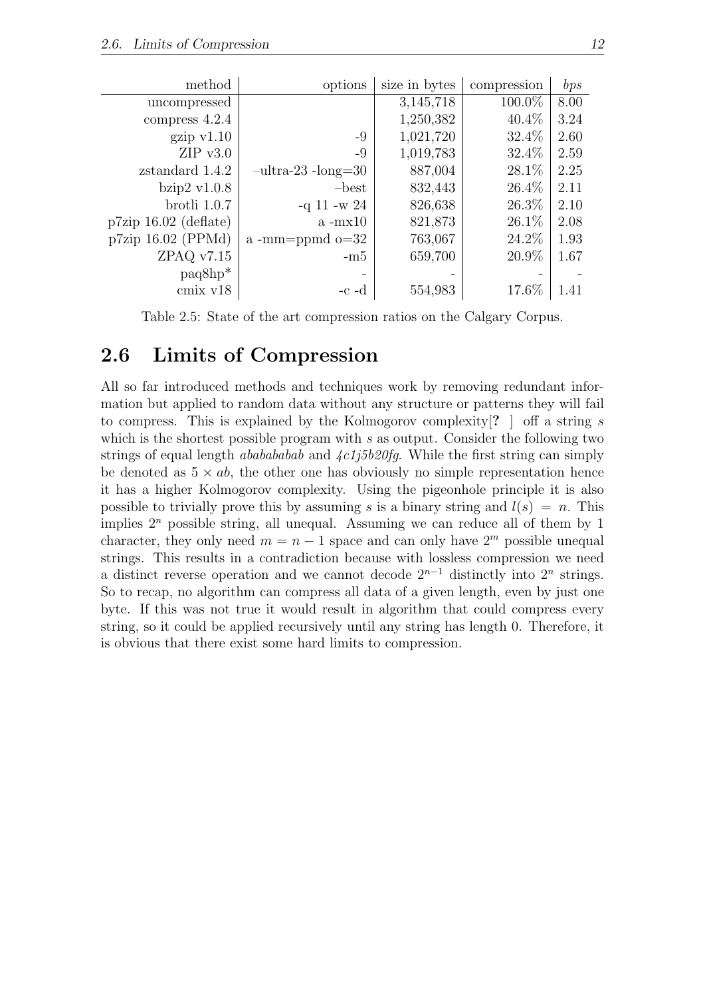| method                  | options               | size in bytes | compression | bps  |
|-------------------------|-----------------------|---------------|-------------|------|
| uncompressed            |                       | 3,145,718     | $100.0\%$   | 8.00 |
| compress 4.2.4          |                       | 1,250,382     | $40.4\%$    | 3.24 |
| gzip v1.10              | $-9$                  | 1,021,720     | 32.4\%      | 2.60 |
| $ZIP$ v3.0              | $-9$                  | 1,019,783     | 32.4\%      | 2.59 |
| zstandard 1.4.2         | $-ultra-23 - long=30$ | 887,004       | 28.1%       | 2.25 |
| bzip $2 \text{ v}1.0.8$ | $-best$               | 832,443       | $26.4\%$    | 2.11 |
| brotli 1.0.7            | $-q 11 - w 24$        | 826,638       | 26.3%       | 2.10 |
| $p7zip 16.02$ (deflate) | $a - mx10$            | 821,873       | $26.1\%$    | 2.08 |
| p7zip 16.02 (PPMd)      | $a$ -mm=ppmd $o=32$   | 763,067       | 24.2\%      | 1.93 |
| ZPAQ v7.15              | $-m5$                 | 659,700       | 20.9%       | 1.67 |
| $paq8hp^*$              |                       |               |             |      |
| cmix v18                | $-c - d$              | 554,983       | 17.6%       | 1.41 |

<span id="page-18-1"></span>Table 2.5: State of the art compression ratios on the Calgary Corpus.

#### <span id="page-18-0"></span>2.6 Limits of Compression

All so far introduced methods and techniques work by removing redundant information but applied to random data without any structure or patterns they will fail to compress. This is explained by the Kolmogorov complexity  $[? \cdot]$  off a string s which is the shortest possible program with  $s$  as output. Consider the following two strings of equal length *ababababab* and  $\frac{\sqrt{4c1j5b20fg}}{m}$ . While the first string can simply be denoted as  $5 \times ab$ , the other one has obviously no simple representation hence it has a higher Kolmogorov complexity. Using the pigeonhole principle it is also possible to trivially prove this by assuming s is a binary string and  $l(s) = n$ . This implies  $2^n$  possible string, all unequal. Assuming we can reduce all of them by 1 character, they only need  $m = n - 1$  space and can only have  $2<sup>m</sup>$  possible unequal strings. This results in a contradiction because with lossless compression we need a distinct reverse operation and we cannot decode  $2^{n-1}$  distinctly into  $2^n$  strings. So to recap, no algorithm can compress all data of a given length, even by just one byte. If this was not true it would result in algorithm that could compress every string, so it could be applied recursively until any string has length 0. Therefore, it is obvious that there exist some hard limits to compression.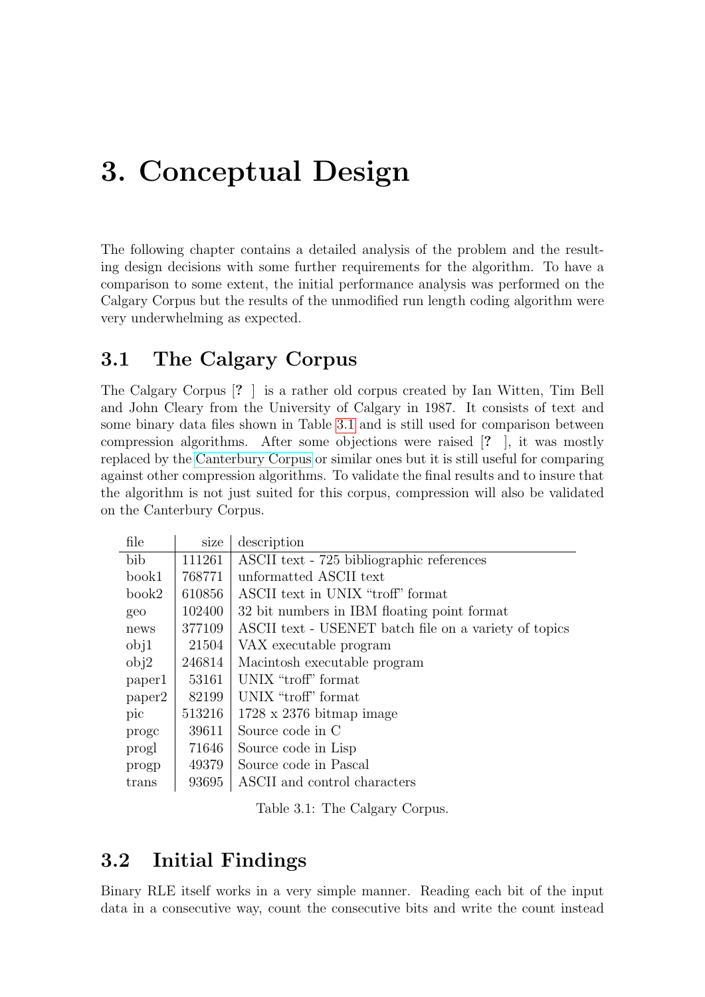## <span id="page-19-0"></span>3. Conceptual Design

The following chapter contains a detailed analysis of the problem and the resulting design decisions with some further requirements for the algorithm. To have a comparison to some extent, the initial performance analysis was performed on the Calgary Corpus but the results of the unmodified run length coding algorithm were very underwhelming as expected.

## <span id="page-19-1"></span>3.1 The Calgary Corpus

The Calgary Corpus [? ] is a rather old corpus created by Ian Witten, Tim Bell and John Cleary from the University of Calgary in 1987. It consists of text and some binary data files shown in Table [3.1](#page-19-3) and is still used for comparison between compression algorithms. After some objections were raised [? ], it was mostly replaced by the [Canterbury Corpus](http://corpus.canterbury.ac.nz/) or similar ones but it is still useful for comparing against other compression algorithms. To validate the final results and to insure that the algorithm is not just suited for this corpus, compression will also be validated on the Canterbury Corpus.

| file   | size   | description                                           |
|--------|--------|-------------------------------------------------------|
| bib    | 111261 | ASCII text - 725 bibliographic references             |
| book1  | 768771 | unformatted ASCII text                                |
| book2  | 610856 | ASCII text in UNIX "troff" format                     |
| geo    | 102400 | 32 bit numbers in IBM floating point format           |
| news   | 377109 | ASCII text - USENET batch file on a variety of topics |
| obj1   | 21504  | VAX executable program                                |
| obj2   | 246814 | Macintosh executable program                          |
| paper1 | 53161  | UNIX "troff" format                                   |
| paper2 | 82199  | UNIX "troff" format                                   |
| pic    | 513216 | $1728 \times 2376$ bitmap image                       |
| proge  | 39611  | Source code in C                                      |
| progl  | 71646  | Source code in Lisp                                   |
| progp  | 49379  | Source code in Pascal                                 |
| trans  | 93695  | ASCII and control characters                          |

<span id="page-19-3"></span>Table 3.1: The Calgary Corpus.

### <span id="page-19-2"></span>3.2 Initial Findings

Binary RLE itself works in a very simple manner. Reading each bit of the input data in a consecutive way, count the consecutive bits and write the count instead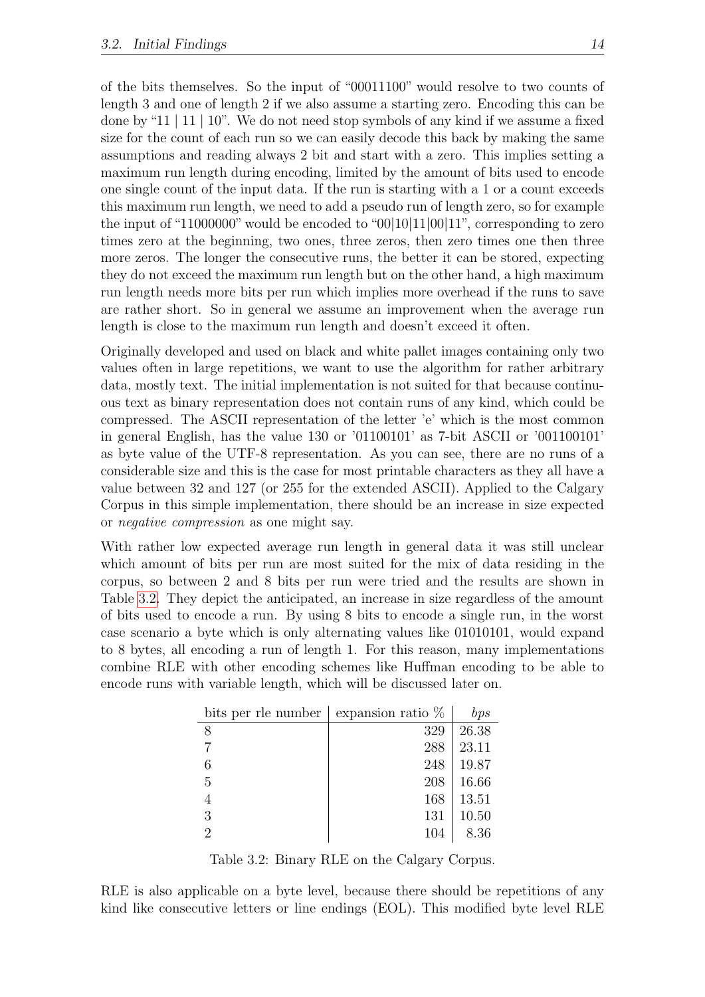of the bits themselves. So the input of "00011100" would resolve to two counts of length 3 and one of length 2 if we also assume a starting zero. Encoding this can be done by "11 | 11 | 10". We do not need stop symbols of any kind if we assume a fixed size for the count of each run so we can easily decode this back by making the same assumptions and reading always 2 bit and start with a zero. This implies setting a maximum run length during encoding, limited by the amount of bits used to encode one single count of the input data. If the run is starting with a 1 or a count exceeds this maximum run length, we need to add a pseudo run of length zero, so for example the input of "11000000" would be encoded to "00|10|11|00|11", corresponding to zero times zero at the beginning, two ones, three zeros, then zero times one then three more zeros. The longer the consecutive runs, the better it can be stored, expecting they do not exceed the maximum run length but on the other hand, a high maximum run length needs more bits per run which implies more overhead if the runs to save are rather short. So in general we assume an improvement when the average run length is close to the maximum run length and doesn't exceed it often.

Originally developed and used on black and white pallet images containing only two values often in large repetitions, we want to use the algorithm for rather arbitrary data, mostly text. The initial implementation is not suited for that because continuous text as binary representation does not contain runs of any kind, which could be compressed. The ASCII representation of the letter 'e' which is the most common in general English, has the value 130 or '01100101' as 7-bit ASCII or '001100101' as byte value of the UTF-8 representation. As you can see, there are no runs of a considerable size and this is the case for most printable characters as they all have a value between 32 and 127 (or 255 for the extended ASCII). Applied to the Calgary Corpus in this simple implementation, there should be an increase in size expected or negative compression as one might say.

With rather low expected average run length in general data it was still unclear which amount of bits per run are most suited for the mix of data residing in the corpus, so between 2 and 8 bits per run were tried and the results are shown in Table [3.2.](#page-20-0) They depict the anticipated, an increase in size regardless of the amount of bits used to encode a run. By using 8 bits to encode a single run, in the worst case scenario a byte which is only alternating values like 01010101, would expand to 8 bytes, all encoding a run of length 1. For this reason, many implementations combine RLE with other encoding schemes like Huffman encoding to be able to encode runs with variable length, which will be discussed later on.

| bits per rle number | expansion ratio $%$ | bps   |
|---------------------|---------------------|-------|
| 8                   | 329                 | 26.38 |
|                     | 288                 | 23.11 |
| 6                   | 248                 | 19.87 |
| 5                   | 208                 | 16.66 |
|                     | 168                 | 13.51 |
| 3                   | 131                 | 10.50 |
| 9                   | 104                 | 8.36  |

<span id="page-20-0"></span>Table 3.2: Binary RLE on the Calgary Corpus.

RLE is also applicable on a byte level, because there should be repetitions of any kind like consecutive letters or line endings (EOL). This modified byte level RLE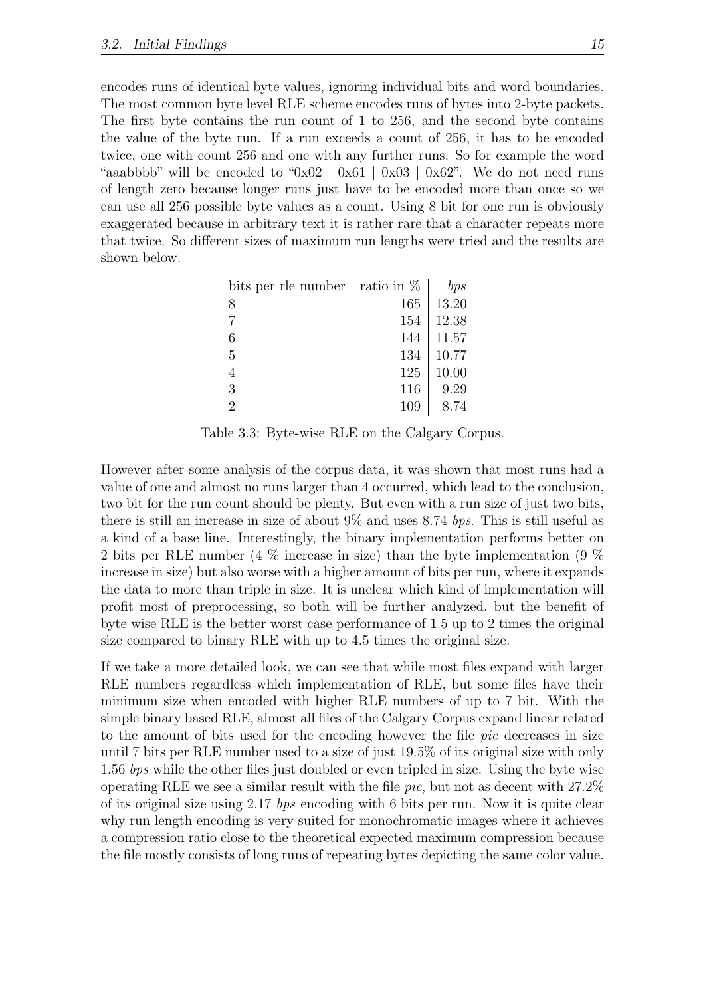encodes runs of identical byte values, ignoring individual bits and word boundaries. The most common byte level RLE scheme encodes runs of bytes into 2-byte packets. The first byte contains the run count of 1 to 256, and the second byte contains the value of the byte run. If a run exceeds a count of 256, it has to be encoded twice, one with count 256 and one with any further runs. So for example the word "aaabbbb" will be encoded to "0x02 | 0x61 | 0x03 | 0x62". We do not need runs of length zero because longer runs just have to be encoded more than once so we can use all 256 possible byte values as a count. Using 8 bit for one run is obviously exaggerated because in arbitrary text it is rather rare that a character repeats more that twice. So different sizes of maximum run lengths were tried and the results are shown below.

<span id="page-21-0"></span>

| bits per rle number | ratio in $\%$ | bps   |
|---------------------|---------------|-------|
| 8                   | 165           | 13.20 |
|                     | 154           | 12.38 |
| 6                   | 144           | 11.57 |
| 5                   | 134           | 10.77 |
| 4                   | 125           | 10.00 |
| 3                   | 116           | 9.29  |
| 2                   | 109           | 8.74  |

Table 3.3: Byte-wise RLE on the Calgary Corpus.

However after some analysis of the corpus data, it was shown that most runs had a value of one and almost no runs larger than 4 occurred, which lead to the conclusion, two bit for the run count should be plenty. But even with a run size of just two bits, there is still an increase in size of about  $9\%$  and uses 8.74 bps. This is still useful as a kind of a base line. Interestingly, the binary implementation performs better on 2 bits per RLE number (4 % increase in size) than the byte implementation (9 % increase in size) but also worse with a higher amount of bits per run, where it expands the data to more than triple in size. It is unclear which kind of implementation will profit most of preprocessing, so both will be further analyzed, but the benefit of byte wise RLE is the better worst case performance of 1.5 up to 2 times the original size compared to binary RLE with up to 4.5 times the original size.

If we take a more detailed look, we can see that while most files expand with larger RLE numbers regardless which implementation of RLE, but some files have their minimum size when encoded with higher RLE numbers of up to 7 bit. With the simple binary based RLE, almost all files of the Calgary Corpus expand linear related to the amount of bits used for the encoding however the file pic decreases in size until 7 bits per RLE number used to a size of just 19.5% of its original size with only 1.56 bps while the other files just doubled or even tripled in size. Using the byte wise operating RLE we see a similar result with the file pic, but not as decent with 27.2% of its original size using 2.17 bps encoding with 6 bits per run. Now it is quite clear why run length encoding is very suited for monochromatic images where it achieves a compression ratio close to the theoretical expected maximum compression because the file mostly consists of long runs of repeating bytes depicting the same color value.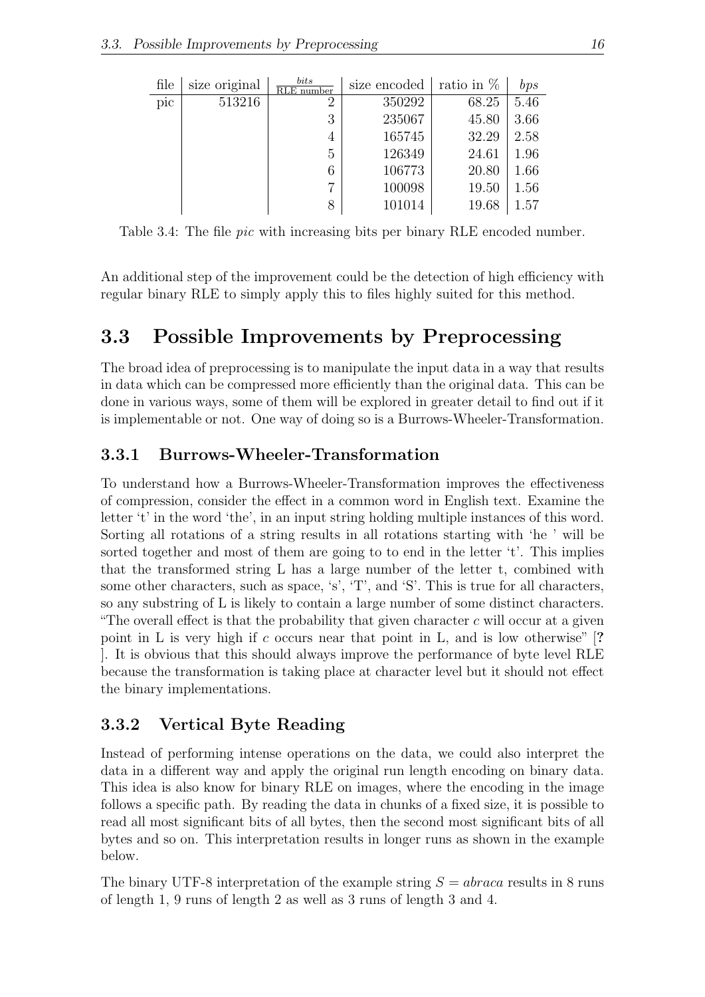<span id="page-22-3"></span>

| file | size original | bits<br>RLE number | size encoded | ratio in $\%$ | bps  |
|------|---------------|--------------------|--------------|---------------|------|
| pic  | 513216        | 2                  | 350292       | 68.25         | 5.46 |
|      |               | 3                  | 235067       | 45.80         | 3.66 |
|      |               | 4                  | 165745       | 32.29         | 2.58 |
|      |               | 5                  | 126349       | 24.61         | 1.96 |
|      |               | 6                  | 106773       | 20.80         | 1.66 |
|      |               | 7                  | 100098       | 19.50         | 1.56 |
|      |               | 8                  | 101014       | 19.68         | 1.57 |

Table 3.4: The file *pic* with increasing bits per binary RLE encoded number.

An additional step of the improvement could be the detection of high efficiency with regular binary RLE to simply apply this to files highly suited for this method.

### <span id="page-22-0"></span>3.3 Possible Improvements by Preprocessing

The broad idea of preprocessing is to manipulate the input data in a way that results in data which can be compressed more efficiently than the original data. This can be done in various ways, some of them will be explored in greater detail to find out if it is implementable or not. One way of doing so is a Burrows-Wheeler-Transformation.

#### <span id="page-22-1"></span>3.3.1 Burrows-Wheeler-Transformation

To understand how a Burrows-Wheeler-Transformation improves the effectiveness of compression, consider the effect in a common word in English text. Examine the letter 't' in the word 'the', in an input string holding multiple instances of this word. Sorting all rotations of a string results in all rotations starting with 'he ' will be sorted together and most of them are going to to end in the letter 't'. This implies that the transformed string L has a large number of the letter t, combined with some other characters, such as space, 's', 'T', and 'S'. This is true for all characters, so any substring of L is likely to contain a large number of some distinct characters. "The overall effect is that the probability that given character  $c$  will occur at a given point in L is very high if c occurs near that point in L, and is low otherwise" [? ]. It is obvious that this should always improve the performance of byte level RLE because the transformation is taking place at character level but it should not effect the binary implementations.

#### <span id="page-22-2"></span>3.3.2 Vertical Byte Reading

Instead of performing intense operations on the data, we could also interpret the data in a different way and apply the original run length encoding on binary data. This idea is also know for binary RLE on images, where the encoding in the image follows a specific path. By reading the data in chunks of a fixed size, it is possible to read all most significant bits of all bytes, then the second most significant bits of all bytes and so on. This interpretation results in longer runs as shown in the example below.

The binary UTF-8 interpretation of the example string  $S = abrac$  results in 8 runs of length 1, 9 runs of length 2 as well as 3 runs of length 3 and 4.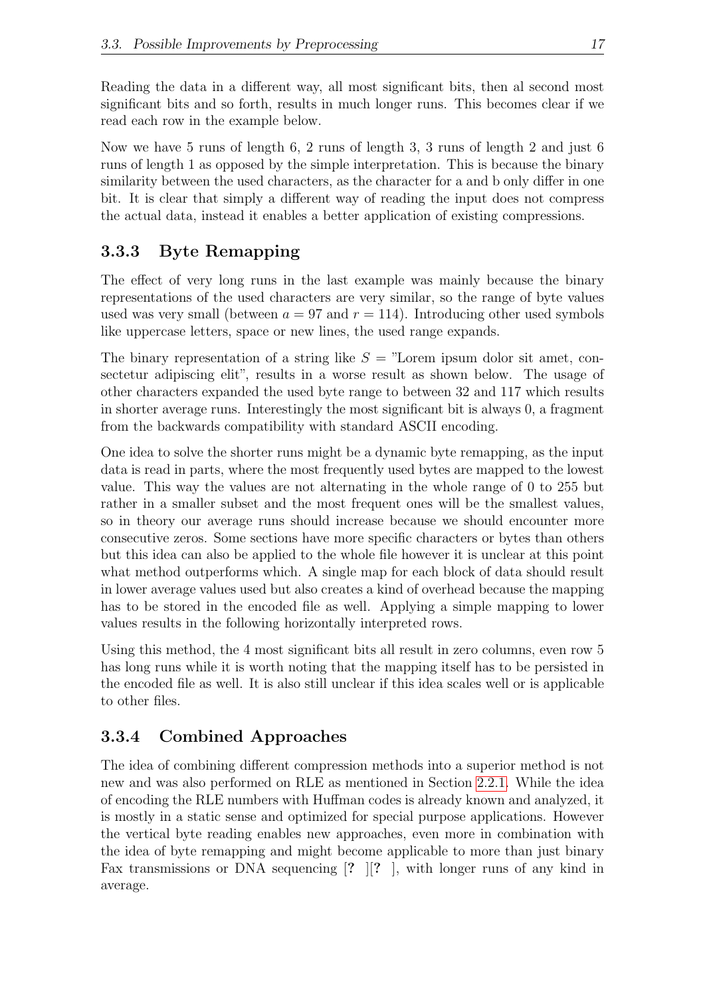Reading the data in a different way, all most significant bits, then al second most significant bits and so forth, results in much longer runs. This becomes clear if we read each row in the example below.

Now we have 5 runs of length 6, 2 runs of length 3, 3 runs of length 2 and just 6 runs of length 1 as opposed by the simple interpretation. This is because the binary similarity between the used characters, as the character for a and b only differ in one bit. It is clear that simply a different way of reading the input does not compress the actual data, instead it enables a better application of existing compressions.

### <span id="page-23-0"></span>3.3.3 Byte Remapping

The effect of very long runs in the last example was mainly because the binary representations of the used characters are very similar, so the range of byte values used was very small (between  $a = 97$  and  $r = 114$ ). Introducing other used symbols like uppercase letters, space or new lines, the used range expands.

The binary representation of a string like  $S =$  "Lorem ipsum dolor sit amet, consectetur adipiscing elit", results in a worse result as shown below. The usage of other characters expanded the used byte range to between 32 and 117 which results in shorter average runs. Interestingly the most significant bit is always 0, a fragment from the backwards compatibility with standard ASCII encoding.

One idea to solve the shorter runs might be a dynamic byte remapping, as the input data is read in parts, where the most frequently used bytes are mapped to the lowest value. This way the values are not alternating in the whole range of 0 to 255 but rather in a smaller subset and the most frequent ones will be the smallest values, so in theory our average runs should increase because we should encounter more consecutive zeros. Some sections have more specific characters or bytes than others but this idea can also be applied to the whole file however it is unclear at this point what method outperforms which. A single map for each block of data should result in lower average values used but also creates a kind of overhead because the mapping has to be stored in the encoded file as well. Applying a simple mapping to lower values results in the following horizontally interpreted rows.

Using this method, the 4 most significant bits all result in zero columns, even row 5 has long runs while it is worth noting that the mapping itself has to be persisted in the encoded file as well. It is also still unclear if this idea scales well or is applicable to other files.

#### <span id="page-23-1"></span>3.3.4 Combined Approaches

The idea of combining different compression methods into a superior method is not new and was also performed on RLE as mentioned in Section [2.2.1.](#page-12-1) While the idea of encoding the RLE numbers with Huffman codes is already known and analyzed, it is mostly in a static sense and optimized for special purpose applications. However the vertical byte reading enables new approaches, even more in combination with the idea of byte remapping and might become applicable to more than just binary Fax transmissions or DNA sequencing [? ][? ], with longer runs of any kind in average.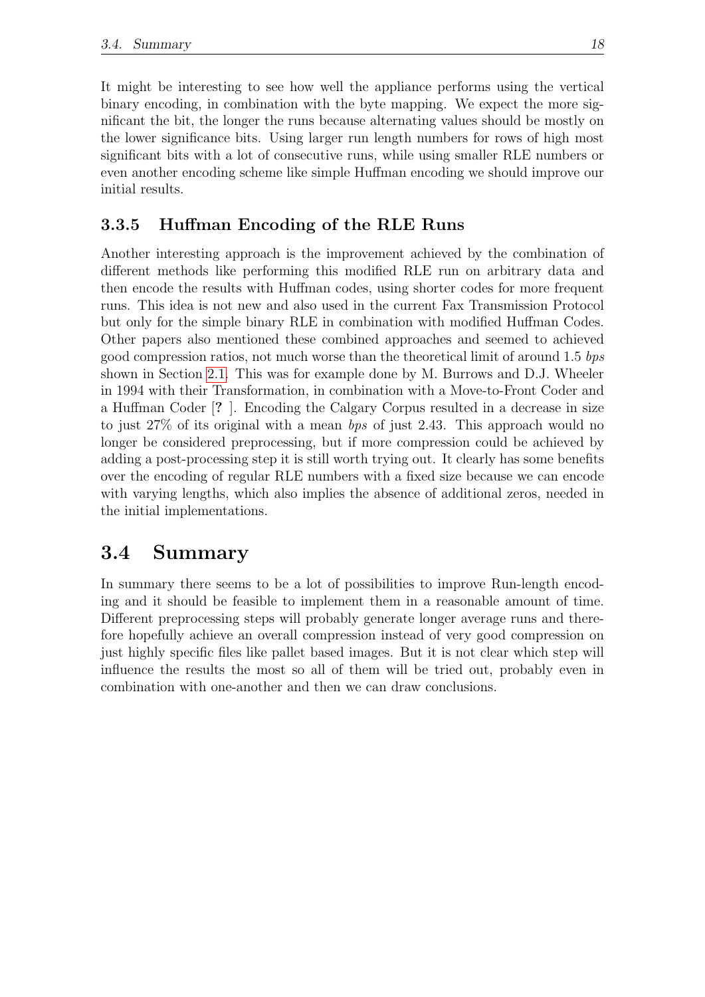It might be interesting to see how well the appliance performs using the vertical binary encoding, in combination with the byte mapping. We expect the more significant the bit, the longer the runs because alternating values should be mostly on the lower significance bits. Using larger run length numbers for rows of high most significant bits with a lot of consecutive runs, while using smaller RLE numbers or even another encoding scheme like simple Huffman encoding we should improve our initial results.

#### <span id="page-24-0"></span>3.3.5 Huffman Encoding of the RLE Runs

Another interesting approach is the improvement achieved by the combination of different methods like performing this modified RLE run on arbitrary data and then encode the results with Huffman codes, using shorter codes for more frequent runs. This idea is not new and also used in the current Fax Transmission Protocol but only for the simple binary RLE in combination with modified Huffman Codes. Other papers also mentioned these combined approaches and seemed to achieved good compression ratios, not much worse than the theoretical limit of around 1.5 bps shown in Section [2.1.](#page-9-1) This was for example done by M. Burrows and D.J. Wheeler in 1994 with their Transformation, in combination with a Move-to-Front Coder and a Huffman Coder [? ]. Encoding the Calgary Corpus resulted in a decrease in size to just 27% of its original with a mean bps of just 2.43. This approach would no longer be considered preprocessing, but if more compression could be achieved by adding a post-processing step it is still worth trying out. It clearly has some benefits over the encoding of regular RLE numbers with a fixed size because we can encode with varying lengths, which also implies the absence of additional zeros, needed in the initial implementations.

## <span id="page-24-1"></span>3.4 Summary

In summary there seems to be a lot of possibilities to improve Run-length encoding and it should be feasible to implement them in a reasonable amount of time. Different preprocessing steps will probably generate longer average runs and therefore hopefully achieve an overall compression instead of very good compression on just highly specific files like pallet based images. But it is not clear which step will influence the results the most so all of them will be tried out, probably even in combination with one-another and then we can draw conclusions.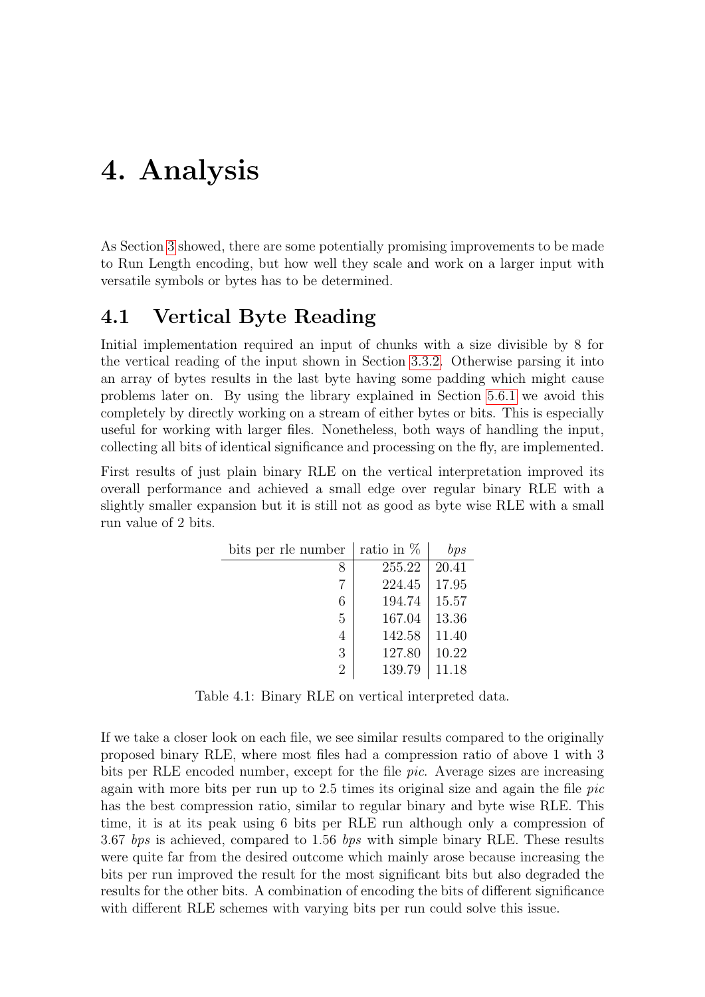## <span id="page-25-0"></span>4. Analysis

As Section [3](#page-19-0) showed, there are some potentially promising improvements to be made to Run Length encoding, but how well they scale and work on a larger input with versatile symbols or bytes has to be determined.

### <span id="page-25-1"></span>4.1 Vertical Byte Reading

Initial implementation required an input of chunks with a size divisible by 8 for the vertical reading of the input shown in Section [3.3.2.](#page-22-2) Otherwise parsing it into an array of bytes results in the last byte having some padding which might cause problems later on. By using the library explained in Section [5.6.1](#page-37-1) we avoid this completely by directly working on a stream of either bytes or bits. This is especially useful for working with larger files. Nonetheless, both ways of handling the input, collecting all bits of identical significance and processing on the fly, are implemented.

First results of just plain binary RLE on the vertical interpretation improved its overall performance and achieved a small edge over regular binary RLE with a slightly smaller expansion but it is still not as good as byte wise RLE with a small run value of 2 bits.

<span id="page-25-2"></span>

| bits per rle number | ratio in $%$ | bps   |
|---------------------|--------------|-------|
|                     | 255.22       | 20.41 |
|                     | 224.45       | 17.95 |
| 6                   | 194.74       | 15.57 |
| 5                   | 167.04       | 13.36 |
| 4                   | 142.58       | 11.40 |
| 3                   | 127.80       | 10.22 |
| $\mathfrak{D}$      | 139.79       | 11.18 |

Table 4.1: Binary RLE on vertical interpreted data.

If we take a closer look on each file, we see similar results compared to the originally proposed binary RLE, where most files had a compression ratio of above 1 with 3 bits per RLE encoded number, except for the file pic. Average sizes are increasing again with more bits per run up to 2.5 times its original size and again the file  $pic$ has the best compression ratio, similar to regular binary and byte wise RLE. This time, it is at its peak using 6 bits per RLE run although only a compression of 3.67 bps is achieved, compared to 1.56 bps with simple binary RLE. These results were quite far from the desired outcome which mainly arose because increasing the bits per run improved the result for the most significant bits but also degraded the results for the other bits. A combination of encoding the bits of different significance with different RLE schemes with varying bits per run could solve this issue.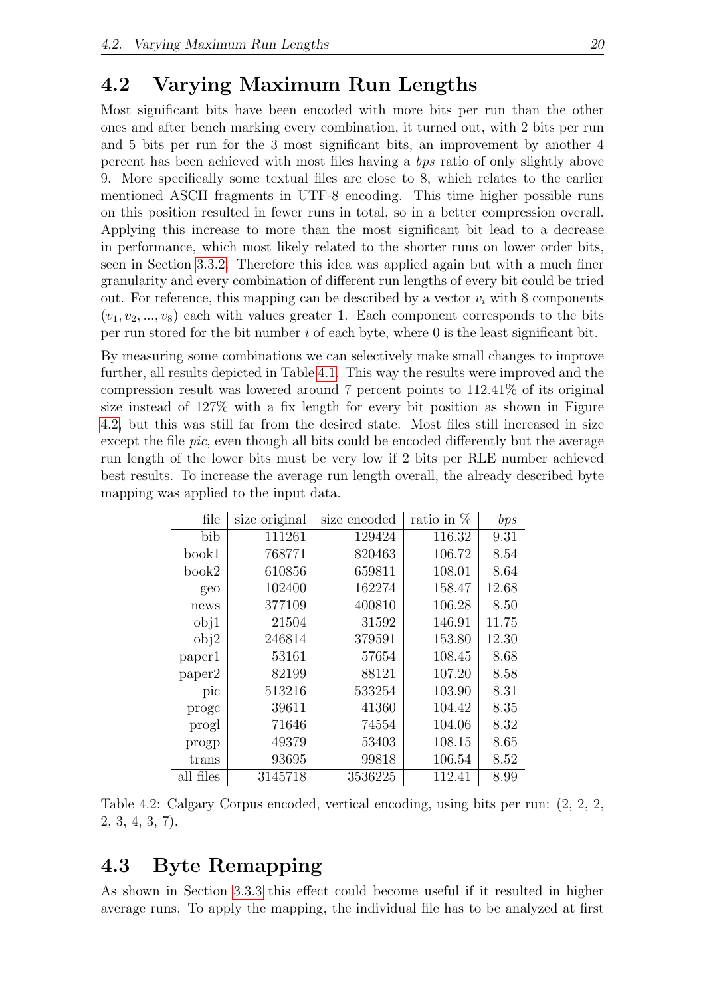### <span id="page-26-0"></span>4.2 Varying Maximum Run Lengths

Most significant bits have been encoded with more bits per run than the other ones and after bench marking every combination, it turned out, with 2 bits per run and 5 bits per run for the 3 most significant bits, an improvement by another 4 percent has been achieved with most files having a bps ratio of only slightly above 9. More specifically some textual files are close to 8, which relates to the earlier mentioned ASCII fragments in UTF-8 encoding. This time higher possible runs on this position resulted in fewer runs in total, so in a better compression overall. Applying this increase to more than the most significant bit lead to a decrease in performance, which most likely related to the shorter runs on lower order bits, seen in Section [3.3.2.](#page-22-2) Therefore this idea was applied again but with a much finer granularity and every combination of different run lengths of every bit could be tried out. For reference, this mapping can be described by a vector  $v_i$  with 8 components  $(v_1, v_2, ..., v_8)$  each with values greater 1. Each component corresponds to the bits per run stored for the bit number  $i$  of each byte, where  $0$  is the least significant bit.

By measuring some combinations we can selectively make small changes to improve further, all results depicted in Table [4.1.](#page-27-0) This way the results were improved and the compression result was lowered around 7 percent points to 112.41% of its original size instead of 127% with a fix length for every bit position as shown in Figure [4.2,](#page-26-2) but this was still far from the desired state. Most files still increased in size except the file *pic*, even though all bits could be encoded differently but the average run length of the lower bits must be very low if 2 bits per RLE number achieved best results. To increase the average run length overall, the already described byte mapping was applied to the input data.

<span id="page-26-2"></span>

| file      | size original | size encoded | ratio in $%$ | bps   |
|-----------|---------------|--------------|--------------|-------|
| bib       | 111261        | 129424       | 116.32       | 9.31  |
| book1     | 768771        | 820463       | 106.72       | 8.54  |
| book2     | 610856        | 659811       | 108.01       | 8.64  |
| geo       | 102400        | 162274       | 158.47       | 12.68 |
| news      | 377109        | 400810       | 106.28       | 8.50  |
| obj1      | 21504         | 31592        | 146.91       | 11.75 |
| obj2      | 246814        | 379591       | 153.80       | 12.30 |
| paper1    | 53161         | 57654        | 108.45       | 8.68  |
| paper2    | 82199         | 88121        | 107.20       | 8.58  |
| pic       | 513216        | 533254       | 103.90       | 8.31  |
| proge     | 39611         | 41360        | 104.42       | 8.35  |
| progl     | 71646         | 74554        | 104.06       | 8.32  |
| progp     | 49379         | 53403        | 108.15       | 8.65  |
| trans     | 93695         | 99818        | 106.54       | 8.52  |
| all files | 3145718       | 3536225      | 112.41       | 8.99  |

Table 4.2: Calgary Corpus encoded, vertical encoding, using bits per run: (2, 2, 2, 2, 3, 4, 3, 7).

## <span id="page-26-1"></span>4.3 Byte Remapping

As shown in Section [3.3.3](#page-23-0) this effect could become useful if it resulted in higher average runs. To apply the mapping, the individual file has to be analyzed at first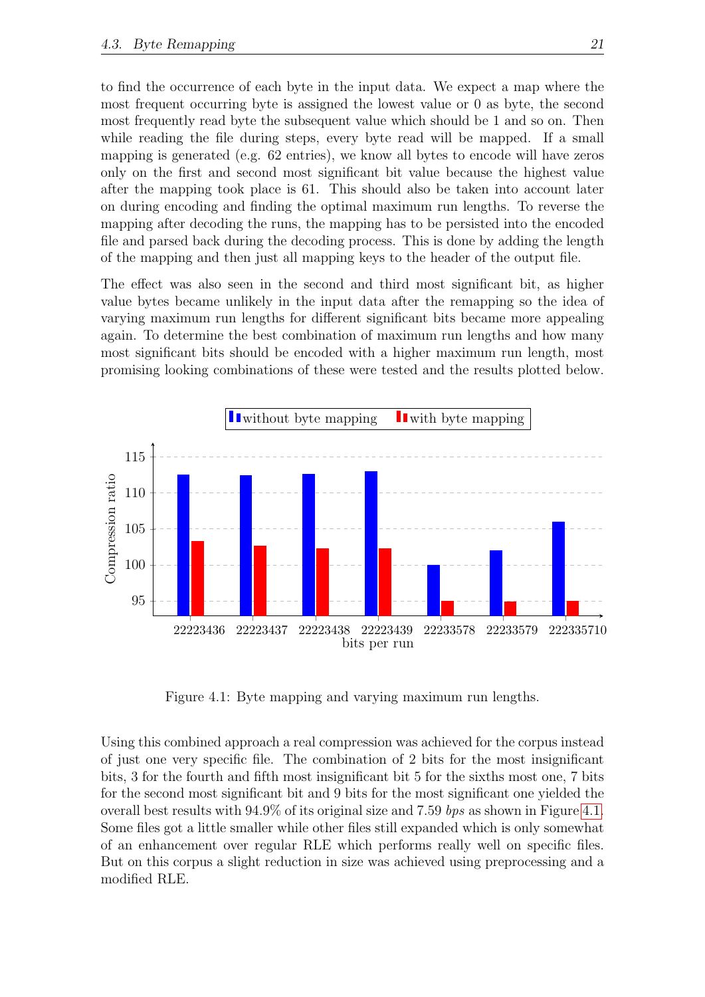to find the occurrence of each byte in the input data. We expect a map where the most frequent occurring byte is assigned the lowest value or 0 as byte, the second most frequently read byte the subsequent value which should be 1 and so on. Then while reading the file during steps, every byte read will be mapped. If a small mapping is generated (e.g. 62 entries), we know all bytes to encode will have zeros only on the first and second most significant bit value because the highest value after the mapping took place is 61. This should also be taken into account later on during encoding and finding the optimal maximum run lengths. To reverse the mapping after decoding the runs, the mapping has to be persisted into the encoded file and parsed back during the decoding process. This is done by adding the length of the mapping and then just all mapping keys to the header of the output file.

The effect was also seen in the second and third most significant bit, as higher value bytes became unlikely in the input data after the remapping so the idea of varying maximum run lengths for different significant bits became more appealing again. To determine the best combination of maximum run lengths and how many most significant bits should be encoded with a higher maximum run length, most promising looking combinations of these were tested and the results plotted below.



<span id="page-27-0"></span>Figure 4.1: Byte mapping and varying maximum run lengths.

Using this combined approach a real compression was achieved for the corpus instead of just one very specific file. The combination of 2 bits for the most insignificant bits, 3 for the fourth and fifth most insignificant bit 5 for the sixths most one, 7 bits for the second most significant bit and 9 bits for the most significant one yielded the overall best results with 94.9% of its original size and 7.59 bps as shown in Figure [4.1.](#page-27-0) Some files got a little smaller while other files still expanded which is only somewhat of an enhancement over regular RLE which performs really well on specific files. But on this corpus a slight reduction in size was achieved using preprocessing and a modified RLE.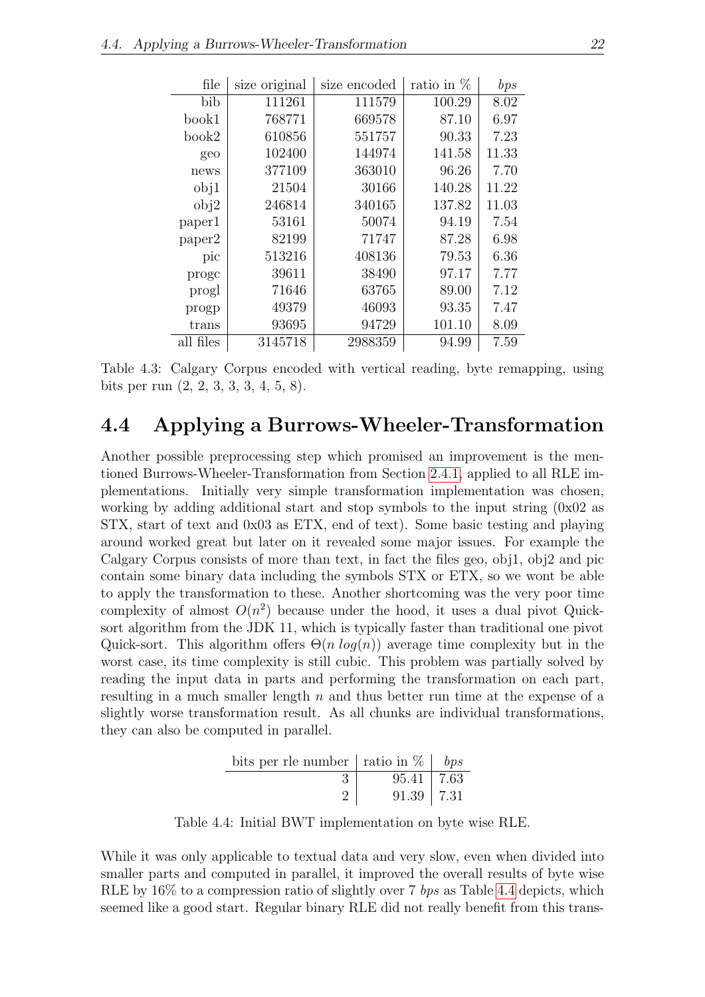<span id="page-28-1"></span>

| file      | size original | size encoded | ratio in $%$ | bps   |
|-----------|---------------|--------------|--------------|-------|
| bib       | 111261        | 111579       | 100.29       | 8.02  |
| book1     | 768771        | 669578       | 87.10        | 6.97  |
| book2     | 610856        | 551757       | 90.33        | 7.23  |
| geo       | 102400        | 144974       | 141.58       | 11.33 |
| news      | 377109        | 363010       | 96.26        | 7.70  |
| obj1      | 21504         | 30166        | 140.28       | 11.22 |
| obj2      | 246814        | 340165       | 137.82       | 11.03 |
| paper1    | 53161         | 50074        | 94.19        | 7.54  |
| paper2    | 82199         | 71747        | 87.28        | 6.98  |
| pic       | 513216        | 408136       | 79.53        | 6.36  |
| proge     | 39611         | 38490        | 97.17        | 7.77  |
| progl     | 71646         | 63765        | 89.00        | 7.12  |
| progp     | 49379         | 46093        | 93.35        | 7.47  |
| trans     | 93695         | 94729        | 101.10       | 8.09  |
| all files | 3145718       | 2988359      | 94.99        | 7.59  |

Table 4.3: Calgary Corpus encoded with vertical reading, byte remapping, using bits per run (2, 2, 3, 3, 3, 4, 5, 8).

#### <span id="page-28-0"></span>4.4 Applying a Burrows-Wheeler-Transformation

Another possible preprocessing step which promised an improvement is the mentioned Burrows-Wheeler-Transformation from Section [2.4.1,](#page-15-1) applied to all RLE implementations. Initially very simple transformation implementation was chosen, working by adding additional start and stop symbols to the input string  $(0x02$  as STX, start of text and 0x03 as ETX, end of text). Some basic testing and playing around worked great but later on it revealed some major issues. For example the Calgary Corpus consists of more than text, in fact the files geo, obj1, obj2 and pic contain some binary data including the symbols STX or ETX, so we wont be able to apply the transformation to these. Another shortcoming was the very poor time complexity of almost  $O(n^2)$  because under the hood, it uses a dual pivot Quicksort algorithm from the JDK 11, which is typically faster than traditional one pivot Quick-sort. This algorithm offers  $\Theta(n \log(n))$  average time complexity but in the worst case, its time complexity is still cubic. This problem was partially solved by reading the input data in parts and performing the transformation on each part, resulting in a much smaller length  $n$  and thus better run time at the expense of a slightly worse transformation result. As all chunks are individual transformations, they can also be computed in parallel.

<span id="page-28-2"></span>

| bits per rle number   ratio in $\%$   bps |                  |  |
|-------------------------------------------|------------------|--|
|                                           | $95.41 \pm 7.63$ |  |
|                                           | $91.39$   $7.31$ |  |

Table 4.4: Initial BWT implementation on byte wise RLE.

While it was only applicable to textual data and very slow, even when divided into smaller parts and computed in parallel, it improved the overall results of byte wise RLE by  $16\%$  to a compression ratio of slightly over 7 bps as Table [4.4](#page-28-2) depicts, which seemed like a good start. Regular binary RLE did not really benefit from this trans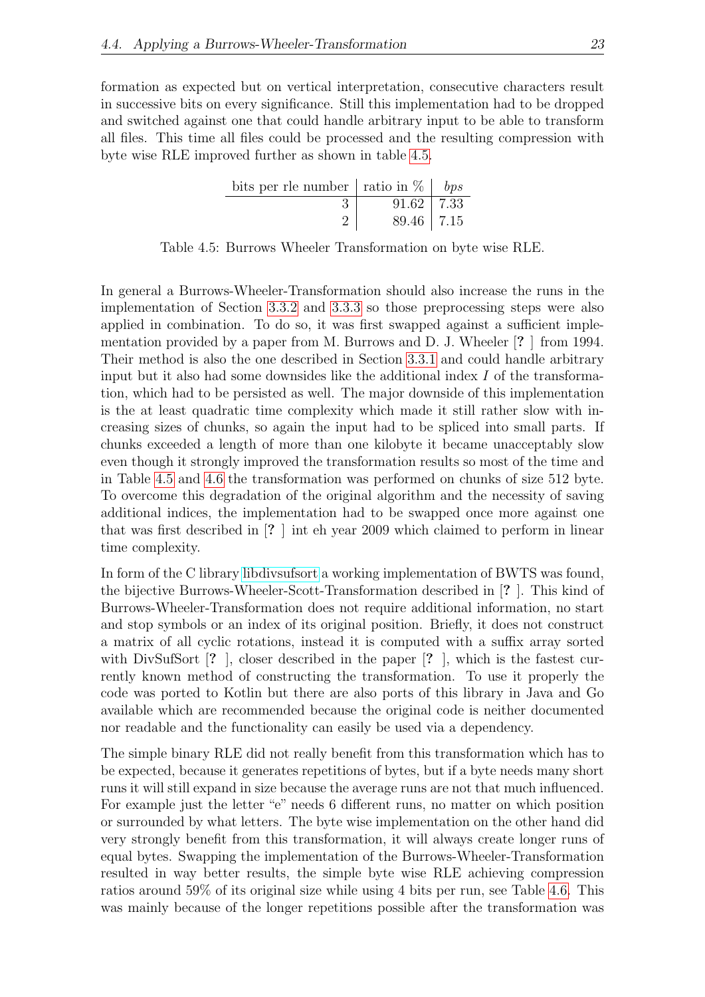formation as expected but on vertical interpretation, consecutive characters result in successive bits on every significance. Still this implementation had to be dropped and switched against one that could handle arbitrary input to be able to transform all files. This time all files could be processed and the resulting compression with byte wise RLE improved further as shown in table [4.5.](#page-29-0)

<span id="page-29-0"></span>

| bits per rle number   ratio in $\%$   <i>bps</i> |                  |  |
|--------------------------------------------------|------------------|--|
|                                                  | $91.62$   $7.33$ |  |
|                                                  | $89.46$   $7.15$ |  |

Table 4.5: Burrows Wheeler Transformation on byte wise RLE.

In general a Burrows-Wheeler-Transformation should also increase the runs in the implementation of Section [3.3.2](#page-22-2) and [3.3.3](#page-23-0) so those preprocessing steps were also applied in combination. To do so, it was first swapped against a sufficient implementation provided by a paper from M. Burrows and D. J. Wheeler [? ] from 1994. Their method is also the one described in Section [3.3.1](#page-22-1) and could handle arbitrary input but it also had some downsides like the additional index  $I$  of the transformation, which had to be persisted as well. The major downside of this implementation is the at least quadratic time complexity which made it still rather slow with increasing sizes of chunks, so again the input had to be spliced into small parts. If chunks exceeded a length of more than one kilobyte it became unacceptably slow even though it strongly improved the transformation results so most of the time and in Table [4.5](#page-29-0) and [4.6](#page-30-0) the transformation was performed on chunks of size 512 byte. To overcome this degradation of the original algorithm and the necessity of saving additional indices, the implementation had to be swapped once more against one that was first described in [? ] int eh year 2009 which claimed to perform in linear time complexity.

In form of the C library [libdivsufsort](https://code.google.com/archive/p/libdivsufsort) a working implementation of BWTS was found, the bijective Burrows-Wheeler-Scott-Transformation described in [? ]. This kind of Burrows-Wheeler-Transformation does not require additional information, no start and stop symbols or an index of its original position. Briefly, it does not construct a matrix of all cyclic rotations, instead it is computed with a suffix array sorted with DivSufSort [? ], closer described in the paper [? ], which is the fastest currently known method of constructing the transformation. To use it properly the code was ported to Kotlin but there are also ports of this library in Java and Go available which are recommended because the original code is neither documented nor readable and the functionality can easily be used via a dependency.

The simple binary RLE did not really benefit from this transformation which has to be expected, because it generates repetitions of bytes, but if a byte needs many short runs it will still expand in size because the average runs are not that much influenced. For example just the letter "e" needs 6 different runs, no matter on which position or surrounded by what letters. The byte wise implementation on the other hand did very strongly benefit from this transformation, it will always create longer runs of equal bytes. Swapping the implementation of the Burrows-Wheeler-Transformation resulted in way better results, the simple byte wise RLE achieving compression ratios around 59% of its original size while using 4 bits per run, see Table [4.6.](#page-30-0) This was mainly because of the longer repetitions possible after the transformation was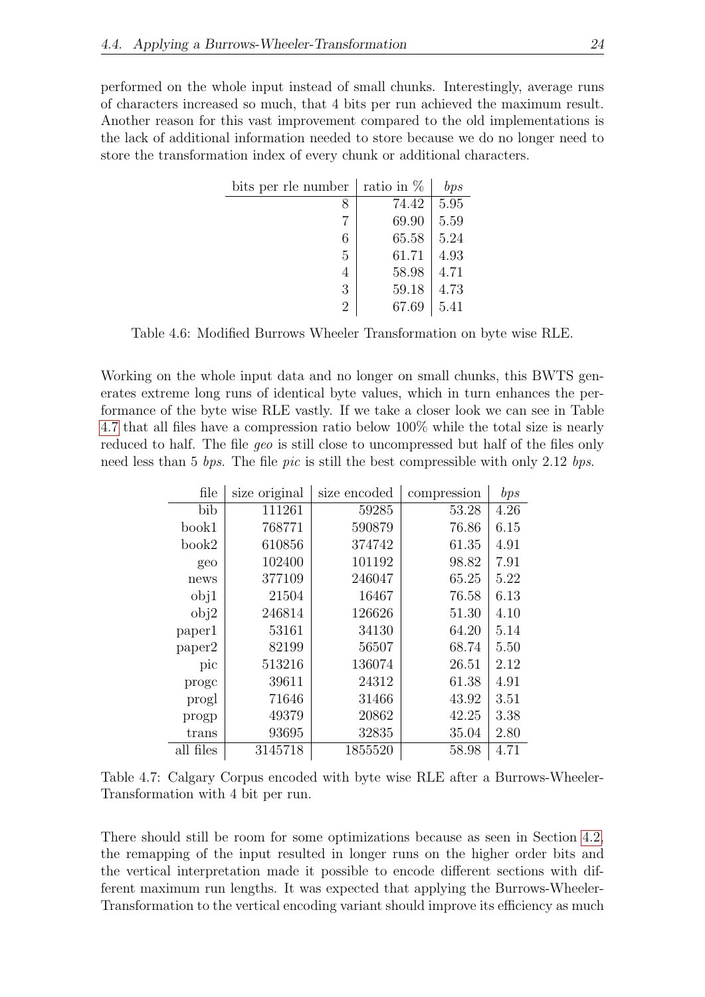performed on the whole input instead of small chunks. Interestingly, average runs of characters increased so much, that 4 bits per run achieved the maximum result. Another reason for this vast improvement compared to the old implementations is the lack of additional information needed to store because we do no longer need to store the transformation index of every chunk or additional characters.

<span id="page-30-0"></span>

| bits per rle number | ratio in $\%$ | bps  |
|---------------------|---------------|------|
| 8                   | 74.42         | 5.95 |
|                     | 69.90         | 5.59 |
| 6                   | 65.58         | 5.24 |
| 5                   | 61.71         | 4.93 |
| 4                   | 58.98         | 4.71 |
| 3                   | 59.18         | 4.73 |
| $\overline{2}$      | 67.69         | 5.41 |

Table 4.6: Modified Burrows Wheeler Transformation on byte wise RLE.

Working on the whole input data and no longer on small chunks, this BWTS generates extreme long runs of identical byte values, which in turn enhances the performance of the byte wise RLE vastly. If we take a closer look we can see in Table [4.7](#page-30-1) that all files have a compression ratio below 100% while the total size is nearly reduced to half. The file *geo* is still close to uncompressed but half of the files only need less than 5 bps. The file pic is still the best compressible with only 2.12 bps.

<span id="page-30-1"></span>

| file      | size original | size encoded | compression | bps  |
|-----------|---------------|--------------|-------------|------|
| bib       | 111261        | 59285        | 53.28       | 4.26 |
| book1     | 768771        | 590879       | 76.86       | 6.15 |
| book2     | 610856        | 374742       | 61.35       | 4.91 |
| geo       | 102400        | 101192       | 98.82       | 7.91 |
| news      | 377109        | 246047       | 65.25       | 5.22 |
| obj1      | 21504         | 16467        | 76.58       | 6.13 |
| obj2      | 246814        | 126626       | 51.30       | 4.10 |
| paper1    | 53161         | 34130        | 64.20       | 5.14 |
| paper2    | 82199         | 56507        | 68.74       | 5.50 |
| pic       | 513216        | 136074       | 26.51       | 2.12 |
| proge     | 39611         | 24312        | 61.38       | 4.91 |
| progl     | 71646         | 31466        | 43.92       | 3.51 |
| progp     | 49379         | 20862        | 42.25       | 3.38 |
| trans     | 93695         | 32835        | 35.04       | 2.80 |
| all files | 3145718       | 1855520      | 58.98       | 4.71 |

Table 4.7: Calgary Corpus encoded with byte wise RLE after a Burrows-Wheeler-Transformation with 4 bit per run.

There should still be room for some optimizations because as seen in Section [4.2,](#page-26-0) the remapping of the input resulted in longer runs on the higher order bits and the vertical interpretation made it possible to encode different sections with different maximum run lengths. It was expected that applying the Burrows-Wheeler-Transformation to the vertical encoding variant should improve its efficiency as much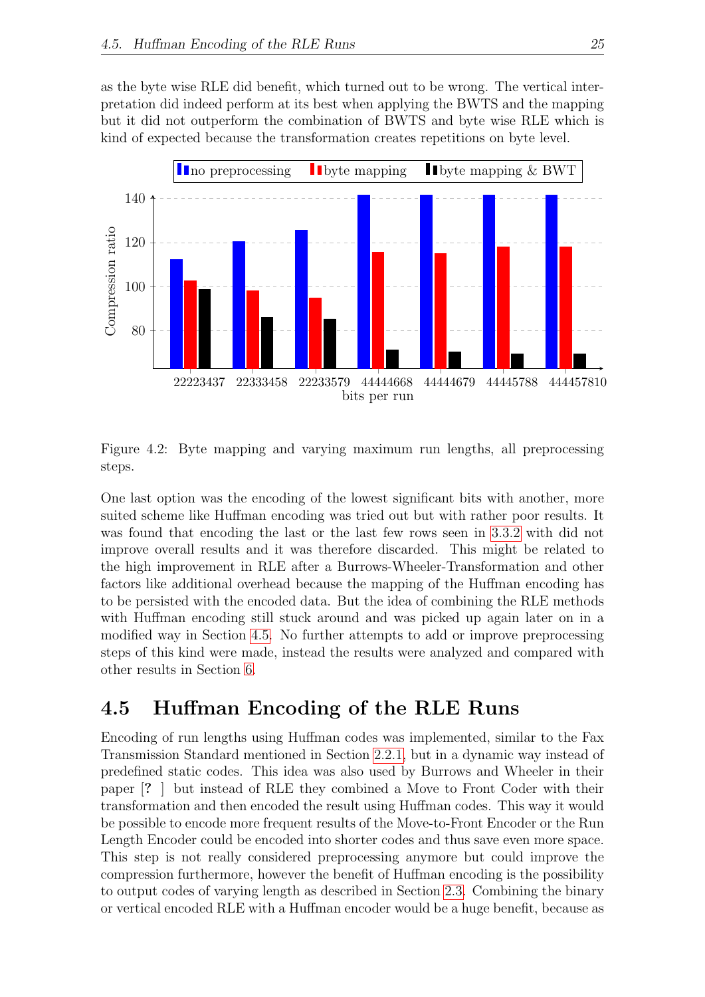as the byte wise RLE did benefit, which turned out to be wrong. The vertical interpretation did indeed perform at its best when applying the BWTS and the mapping but it did not outperform the combination of BWTS and byte wise RLE which is kind of expected because the transformation creates repetitions on byte level.



<span id="page-31-1"></span>Figure 4.2: Byte mapping and varying maximum run lengths, all preprocessing steps.

One last option was the encoding of the lowest significant bits with another, more suited scheme like Huffman encoding was tried out but with rather poor results. It was found that encoding the last or the last few rows seen in [3.3.2](#page-22-2) with did not improve overall results and it was therefore discarded. This might be related to the high improvement in RLE after a Burrows-Wheeler-Transformation and other factors like additional overhead because the mapping of the Huffman encoding has to be persisted with the encoded data. But the idea of combining the RLE methods with Huffman encoding still stuck around and was picked up again later on in a modified way in Section [4.5.](#page-31-0) No further attempts to add or improve preprocessing steps of this kind were made, instead the results were analyzed and compared with other results in Section [6.](#page-40-0)

#### <span id="page-31-0"></span>4.5 Huffman Encoding of the RLE Runs

Encoding of run lengths using Huffman codes was implemented, similar to the Fax Transmission Standard mentioned in Section [2.2.1,](#page-12-1) but in a dynamic way instead of predefined static codes. This idea was also used by Burrows and Wheeler in their paper [? ] but instead of RLE they combined a Move to Front Coder with their transformation and then encoded the result using Huffman codes. This way it would be possible to encode more frequent results of the Move-to-Front Encoder or the Run Length Encoder could be encoded into shorter codes and thus save even more space. This step is not really considered preprocessing anymore but could improve the compression furthermore, however the benefit of Huffman encoding is the possibility to output codes of varying length as described in Section [2.3.](#page-13-1) Combining the binary or vertical encoded RLE with a Huffman encoder would be a huge benefit, because as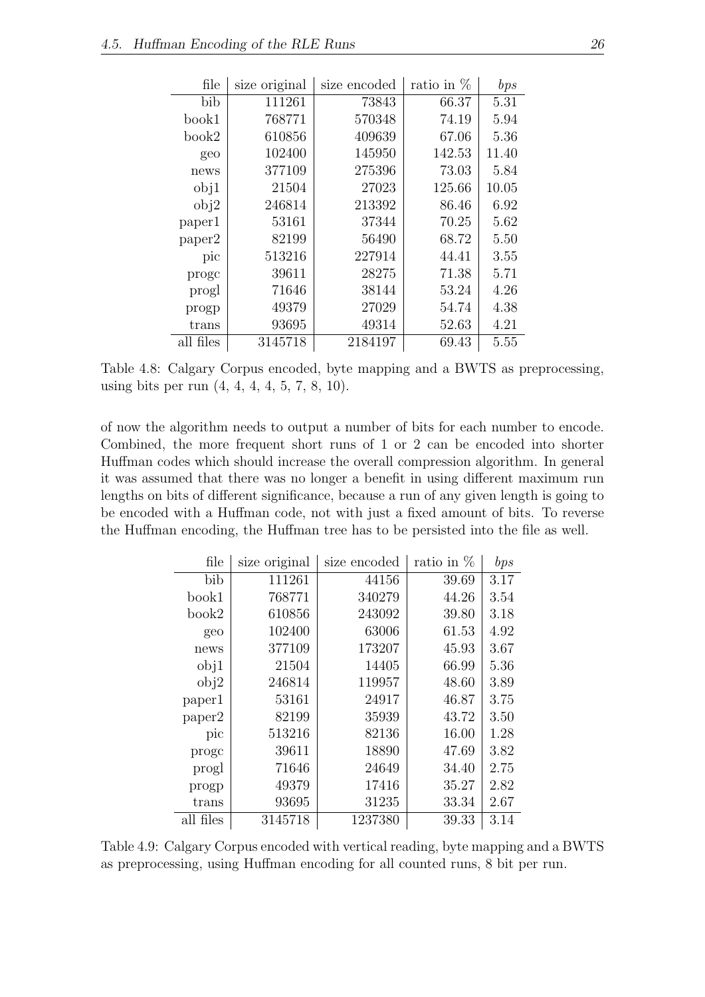<span id="page-32-0"></span>

| file      | size original | size encoded | ratio in $%$ | bps   |
|-----------|---------------|--------------|--------------|-------|
| bib       | 111261        | 73843        | 66.37        | 5.31  |
| book1     | 768771        | 570348       | 74.19        | 5.94  |
| book2     | 610856        | 409639       | 67.06        | 5.36  |
| geo       | 102400        | 145950       | 142.53       | 11.40 |
| news      | 377109        | 275396       | 73.03        | 5.84  |
| obj1      | 21504         | 27023        | 125.66       | 10.05 |
| obj2      | 246814        | 213392       | 86.46        | 6.92  |
| paper1    | 53161         | 37344        | 70.25        | 5.62  |
| paper2    | 82199         | 56490        | 68.72        | 5.50  |
| pic       | 513216        | 227914       | 44.41        | 3.55  |
| proge     | 39611         | 28275        | 71.38        | 5.71  |
| progl     | 71646         | 38144        | 53.24        | 4.26  |
| progp     | 49379         | 27029        | 54.74        | 4.38  |
| trans     | 93695         | 49314        | 52.63        | 4.21  |
| all files | 3145718       | 2184197      | 69.43        | 5.55  |

Table 4.8: Calgary Corpus encoded, byte mapping and a BWTS as preprocessing, using bits per run (4, 4, 4, 4, 5, 7, 8, 10).

of now the algorithm needs to output a number of bits for each number to encode. Combined, the more frequent short runs of 1 or 2 can be encoded into shorter Huffman codes which should increase the overall compression algorithm. In general it was assumed that there was no longer a benefit in using different maximum run lengths on bits of different significance, because a run of any given length is going to be encoded with a Huffman code, not with just a fixed amount of bits. To reverse the Huffman encoding, the Huffman tree has to be persisted into the file as well.

<span id="page-32-1"></span>

| file      | size original | size encoded | ratio in $%$ | bps  |
|-----------|---------------|--------------|--------------|------|
| bib       | 111261        | 44156        | 39.69        | 3.17 |
| book1     | 768771        | 340279       | 44.26        | 3.54 |
| book2     | 610856        | 243092       | 39.80        | 3.18 |
| geo       | 102400        | 63006        | 61.53        | 4.92 |
| news      | 377109        | 173207       | 45.93        | 3.67 |
| obj1      | 21504         | 14405        | 66.99        | 5.36 |
| obj2      | 246814        | 119957       | 48.60        | 3.89 |
| paper1    | 53161         | 24917        | 46.87        | 3.75 |
| paper2    | 82199         | 35939        | 43.72        | 3.50 |
| pic       | 513216        | 82136        | 16.00        | 1.28 |
| proge     | 39611         | 18890        | 47.69        | 3.82 |
| progl     | 71646         | 24649        | 34.40        | 2.75 |
| progp     | 49379         | 17416        | 35.27        | 2.82 |
| trans     | 93695         | 31235        | 33.34        | 2.67 |
| all files | 3145718       | 1237380      | 39.33        | 3.14 |

Table 4.9: Calgary Corpus encoded with vertical reading, byte mapping and a BWTS as preprocessing, using Huffman encoding for all counted runs, 8 bit per run.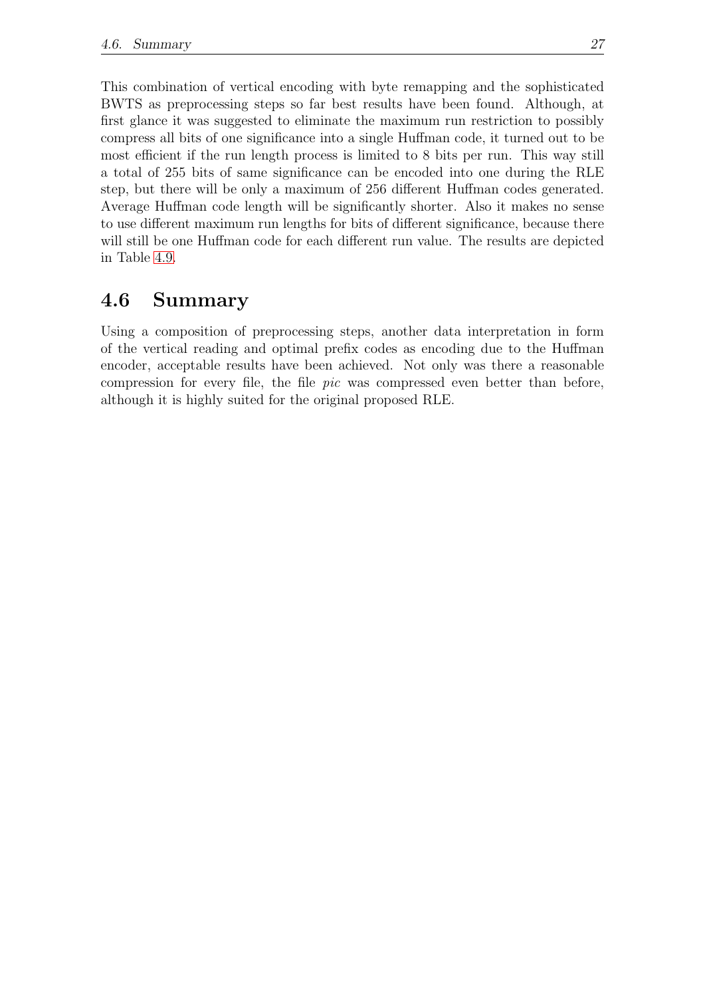This combination of vertical encoding with byte remapping and the sophisticated BWTS as preprocessing steps so far best results have been found. Although, at first glance it was suggested to eliminate the maximum run restriction to possibly compress all bits of one significance into a single Huffman code, it turned out to be most efficient if the run length process is limited to 8 bits per run. This way still a total of 255 bits of same significance can be encoded into one during the RLE step, but there will be only a maximum of 256 different Huffman codes generated. Average Huffman code length will be significantly shorter. Also it makes no sense to use different maximum run lengths for bits of different significance, because there will still be one Huffman code for each different run value. The results are depicted in Table [4.9.](#page-32-1)

### <span id="page-33-0"></span>4.6 Summary

Using a composition of preprocessing steps, another data interpretation in form of the vertical reading and optimal prefix codes as encoding due to the Huffman encoder, acceptable results have been achieved. Not only was there a reasonable compression for every file, the file pic was compressed even better than before, although it is highly suited for the original proposed RLE.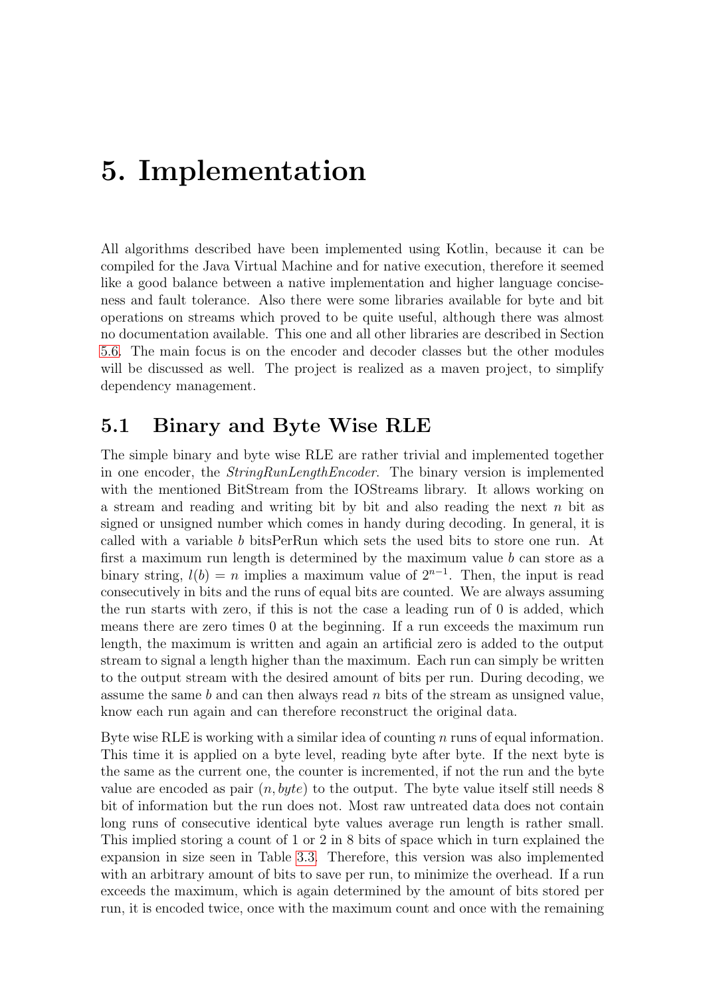## <span id="page-34-0"></span>5. Implementation

All algorithms described have been implemented using Kotlin, because it can be compiled for the Java Virtual Machine and for native execution, therefore it seemed like a good balance between a native implementation and higher language conciseness and fault tolerance. Also there were some libraries available for byte and bit operations on streams which proved to be quite useful, although there was almost no documentation available. This one and all other libraries are described in Section [5.6.](#page-37-0) The main focus is on the encoder and decoder classes but the other modules will be discussed as well. The project is realized as a maven project, to simplify dependency management.

#### <span id="page-34-1"></span>5.1 Binary and Byte Wise RLE

The simple binary and byte wise RLE are rather trivial and implemented together in one encoder, the StringRunLengthEncoder. The binary version is implemented with the mentioned BitStream from the IOStreams library. It allows working on a stream and reading and writing bit by bit and also reading the next  $n$  bit as signed or unsigned number which comes in handy during decoding. In general, it is called with a variable b bitsPerRun which sets the used bits to store one run. At first a maximum run length is determined by the maximum value b can store as a binary string,  $l(b) = n$  implies a maximum value of  $2^{n-1}$ . Then, the input is read consecutively in bits and the runs of equal bits are counted. We are always assuming the run starts with zero, if this is not the case a leading run of 0 is added, which means there are zero times 0 at the beginning. If a run exceeds the maximum run length, the maximum is written and again an artificial zero is added to the output stream to signal a length higher than the maximum. Each run can simply be written to the output stream with the desired amount of bits per run. During decoding, we assume the same b and can then always read n bits of the stream as unsigned value, know each run again and can therefore reconstruct the original data.

Byte wise RLE is working with a similar idea of counting  $n$  runs of equal information. This time it is applied on a byte level, reading byte after byte. If the next byte is the same as the current one, the counter is incremented, if not the run and the byte value are encoded as pair  $(n, byte)$  to the output. The byte value itself still needs 8 bit of information but the run does not. Most raw untreated data does not contain long runs of consecutive identical byte values average run length is rather small. This implied storing a count of 1 or 2 in 8 bits of space which in turn explained the expansion in size seen in Table [3.3.](#page-21-0) Therefore, this version was also implemented with an arbitrary amount of bits to save per run, to minimize the overhead. If a run exceeds the maximum, which is again determined by the amount of bits stored per run, it is encoded twice, once with the maximum count and once with the remaining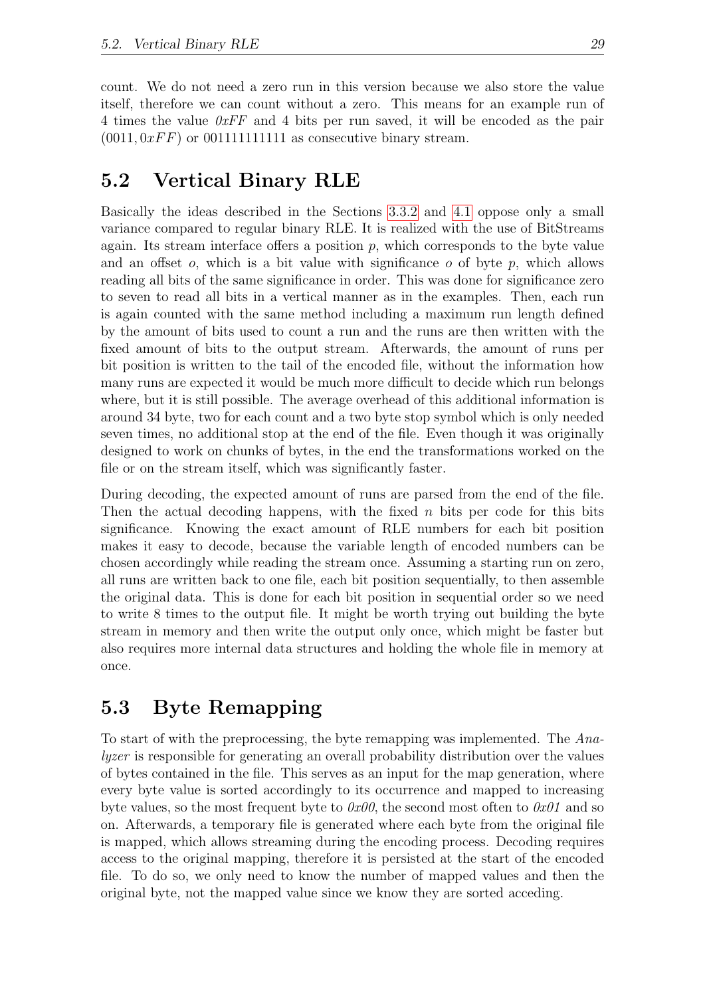count. We do not need a zero run in this version because we also store the value itself, therefore we can count without a zero. This means for an example run of 4 times the value  $0xFF$  and 4 bits per run saved, it will be encoded as the pair  $(0011, 0xFF)$  or 00111111111111111 as consecutive binary stream.

### <span id="page-35-0"></span>5.2 Vertical Binary RLE

Basically the ideas described in the Sections [3.3.2](#page-22-2) and [4.1](#page-25-1) oppose only a small variance compared to regular binary RLE. It is realized with the use of BitStreams again. Its stream interface offers a position  $p$ , which corresponds to the byte value and an offset  $o$ , which is a bit value with significance  $o$  of byte  $p$ , which allows reading all bits of the same significance in order. This was done for significance zero to seven to read all bits in a vertical manner as in the examples. Then, each run is again counted with the same method including a maximum run length defined by the amount of bits used to count a run and the runs are then written with the fixed amount of bits to the output stream. Afterwards, the amount of runs per bit position is written to the tail of the encoded file, without the information how many runs are expected it would be much more difficult to decide which run belongs where, but it is still possible. The average overhead of this additional information is around 34 byte, two for each count and a two byte stop symbol which is only needed seven times, no additional stop at the end of the file. Even though it was originally designed to work on chunks of bytes, in the end the transformations worked on the file or on the stream itself, which was significantly faster.

During decoding, the expected amount of runs are parsed from the end of the file. Then the actual decoding happens, with the fixed  $n$  bits per code for this bits significance. Knowing the exact amount of RLE numbers for each bit position makes it easy to decode, because the variable length of encoded numbers can be chosen accordingly while reading the stream once. Assuming a starting run on zero, all runs are written back to one file, each bit position sequentially, to then assemble the original data. This is done for each bit position in sequential order so we need to write 8 times to the output file. It might be worth trying out building the byte stream in memory and then write the output only once, which might be faster but also requires more internal data structures and holding the whole file in memory at once.

### <span id="page-35-1"></span>5.3 Byte Remapping

To start of with the preprocessing, the byte remapping was implemented. The Analyzer is responsible for generating an overall probability distribution over the values of bytes contained in the file. This serves as an input for the map generation, where every byte value is sorted accordingly to its occurrence and mapped to increasing byte values, so the most frequent byte to  $\partial x\partial\theta$ , the second most often to  $\partial x\partial\theta$  and so on. Afterwards, a temporary file is generated where each byte from the original file is mapped, which allows streaming during the encoding process. Decoding requires access to the original mapping, therefore it is persisted at the start of the encoded file. To do so, we only need to know the number of mapped values and then the original byte, not the mapped value since we know they are sorted acceding.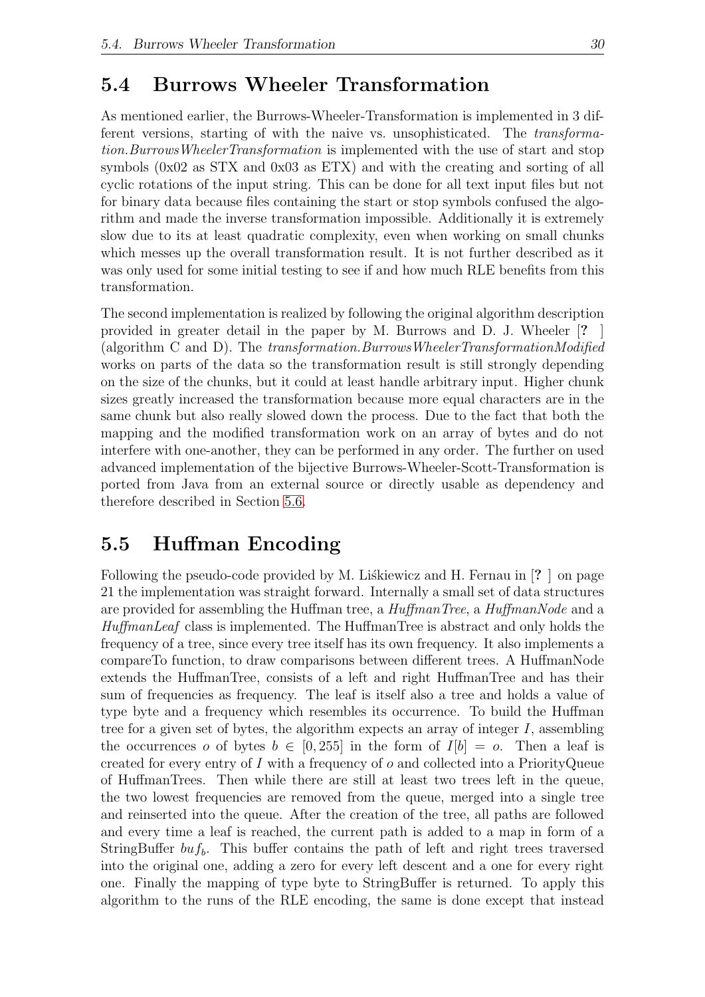#### <span id="page-36-0"></span>5.4 Burrows Wheeler Transformation

As mentioned earlier, the Burrows-Wheeler-Transformation is implemented in 3 different versions, starting of with the naive vs. unsophisticated. The transformation.BurrowsWheelerTransformation is implemented with the use of start and stop symbols (0x02 as STX and 0x03 as ETX) and with the creating and sorting of all cyclic rotations of the input string. This can be done for all text input files but not for binary data because files containing the start or stop symbols confused the algorithm and made the inverse transformation impossible. Additionally it is extremely slow due to its at least quadratic complexity, even when working on small chunks which messes up the overall transformation result. It is not further described as it was only used for some initial testing to see if and how much RLE benefits from this transformation.

The second implementation is realized by following the original algorithm description provided in greater detail in the paper by M. Burrows and D. J. Wheeler [? ] (algorithm C and D). The transformation.BurrowsWheelerTransformationModified works on parts of the data so the transformation result is still strongly depending on the size of the chunks, but it could at least handle arbitrary input. Higher chunk sizes greatly increased the transformation because more equal characters are in the same chunk but also really slowed down the process. Due to the fact that both the mapping and the modified transformation work on an array of bytes and do not interfere with one-another, they can be performed in any order. The further on used advanced implementation of the bijective Burrows-Wheeler-Scott-Transformation is ported from Java from an external source or directly usable as dependency and therefore described in Section [5.6.](#page-37-0)

### <span id="page-36-1"></span>5.5 Huffman Encoding

Following the pseudo-code provided by M. Liskiewicz and H. Fernau in  $[? \]$  on page 21 the implementation was straight forward. Internally a small set of data structures are provided for assembling the Huffman tree, a *HuffmanTree*, a *HuffmanNode* and a HuffmanLeaf class is implemented. The HuffmanTree is abstract and only holds the frequency of a tree, since every tree itself has its own frequency. It also implements a compareTo function, to draw comparisons between different trees. A HuffmanNode extends the HuffmanTree, consists of a left and right HuffmanTree and has their sum of frequencies as frequency. The leaf is itself also a tree and holds a value of type byte and a frequency which resembles its occurrence. To build the Huffman tree for a given set of bytes, the algorithm expects an array of integer  $I$ , assembling the occurrences o of bytes  $b \in [0, 255]$  in the form of  $I[b] = o$ . Then a leaf is created for every entry of I with a frequency of  $o$  and collected into a PriorityQueue of HuffmanTrees. Then while there are still at least two trees left in the queue, the two lowest frequencies are removed from the queue, merged into a single tree and reinserted into the queue. After the creation of the tree, all paths are followed and every time a leaf is reached, the current path is added to a map in form of a StringBuffer  $bu f_b$ . This buffer contains the path of left and right trees traversed into the original one, adding a zero for every left descent and a one for every right one. Finally the mapping of type byte to StringBuffer is returned. To apply this algorithm to the runs of the RLE encoding, the same is done except that instead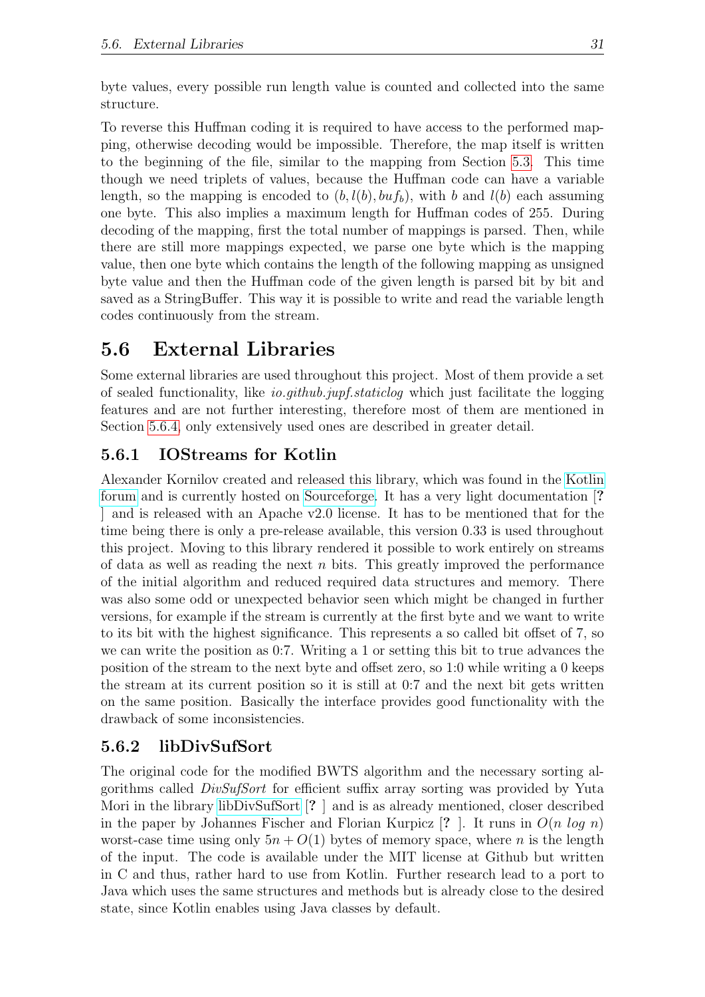byte values, every possible run length value is counted and collected into the same structure.

To reverse this Huffman coding it is required to have access to the performed mapping, otherwise decoding would be impossible. Therefore, the map itself is written to the beginning of the file, similar to the mapping from Section [5.3.](#page-35-1) This time though we need triplets of values, because the Huffman code can have a variable length, so the mapping is encoded to  $(b, l(b), bu f_b)$ , with b and  $l(b)$  each assuming one byte. This also implies a maximum length for Huffman codes of 255. During decoding of the mapping, first the total number of mappings is parsed. Then, while there are still more mappings expected, we parse one byte which is the mapping value, then one byte which contains the length of the following mapping as unsigned byte value and then the Huffman code of the given length is parsed bit by bit and saved as a StringBuffer. This way it is possible to write and read the variable length codes continuously from the stream.

## <span id="page-37-0"></span>5.6 External Libraries

Some external libraries are used throughout this project. Most of them provide a set of sealed functionality, like io.github.jupf.staticlog which just facilitate the logging features and are not further interesting, therefore most of them are mentioned in Section [5.6.4,](#page-38-1) only extensively used ones are described in greater detail.

#### <span id="page-37-1"></span>5.6.1 IOStreams for Kotlin

Alexander Kornilov created and released this library, which was found in the [Kotlin](https://discuss.kotlinlang.org/t/i-o-streams-for-kotlin/9802) [forum](https://discuss.kotlinlang.org/t/i-o-streams-for-kotlin/9802) and is currently hosted on [Sourceforge.](https://sourceforge.net/projects/kotlin-utils/) It has a very light documentation [? ] and is released with an Apache v2.0 license. It has to be mentioned that for the time being there is only a pre-release available, this version 0.33 is used throughout this project. Moving to this library rendered it possible to work entirely on streams of data as well as reading the next  $n$  bits. This greatly improved the performance of the initial algorithm and reduced required data structures and memory. There was also some odd or unexpected behavior seen which might be changed in further versions, for example if the stream is currently at the first byte and we want to write to its bit with the highest significance. This represents a so called bit offset of 7, so we can write the position as 0:7. Writing a 1 or setting this bit to true advances the position of the stream to the next byte and offset zero, so 1:0 while writing a 0 keeps the stream at its current position so it is still at 0:7 and the next bit gets written on the same position. Basically the interface provides good functionality with the drawback of some inconsistencies.

#### <span id="page-37-2"></span>5.6.2 libDivSufSort

The original code for the modified BWTS algorithm and the necessary sorting algorithms called DivSufSort for efficient suffix array sorting was provided by Yuta Mori in the library [libDivSufSort](https://github.com/y-256/libdivsufsort) [? ] and is as already mentioned, closer described in the paper by Johannes Fischer and Florian Kurpicz  $[? \cdot]$ . It runs in  $O(n \log n)$ worst-case time using only  $5n + O(1)$  bytes of memory space, where n is the length of the input. The code is available under the MIT license at Github but written in C and thus, rather hard to use from Kotlin. Further research lead to a port to Java which uses the same structures and methods but is already close to the desired state, since Kotlin enables using Java classes by default.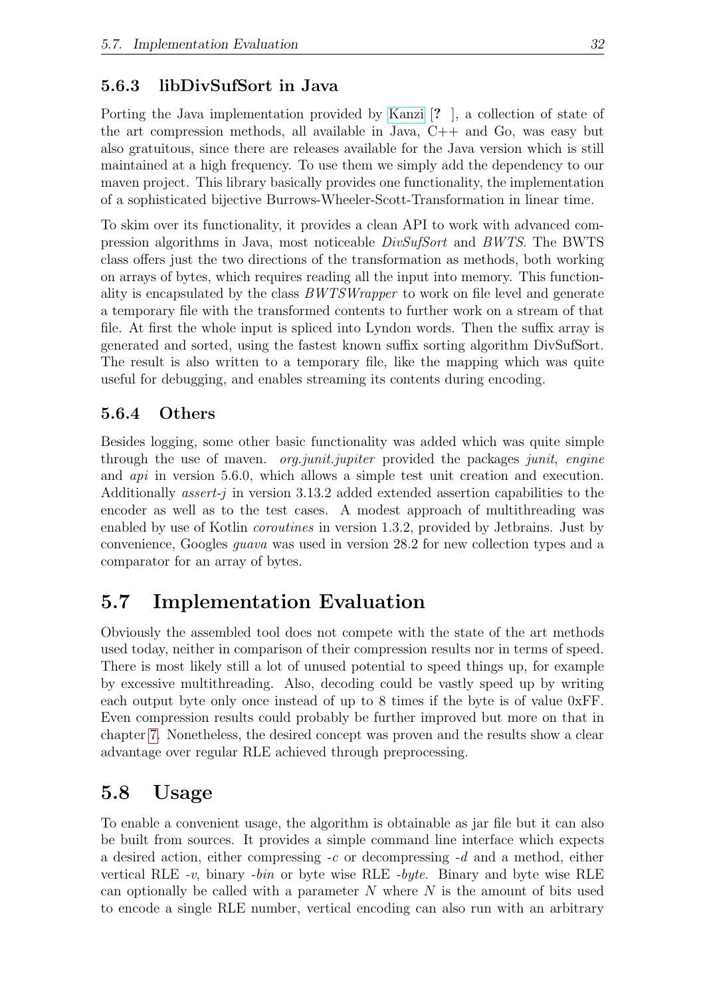#### <span id="page-38-0"></span>5.6.3 libDivSufSort in Java

Porting the Java implementation provided by [Kanzi](https://github.com/flanglet/kanzi/releases) [? ], a collection of state of the art compression methods, all available in Java, C++ and Go, was easy but also gratuitous, since there are releases available for the Java version which is still maintained at a high frequency. To use them we simply add the dependency to our maven project. This library basically provides one functionality, the implementation of a sophisticated bijective Burrows-Wheeler-Scott-Transformation in linear time.

To skim over its functionality, it provides a clean API to work with advanced compression algorithms in Java, most noticeable DivSufSort and BWTS. The BWTS class offers just the two directions of the transformation as methods, both working on arrays of bytes, which requires reading all the input into memory. This functionality is encapsulated by the class BWTSWrapper to work on file level and generate a temporary file with the transformed contents to further work on a stream of that file. At first the whole input is spliced into Lyndon words. Then the suffix array is generated and sorted, using the fastest known suffix sorting algorithm DivSufSort. The result is also written to a temporary file, like the mapping which was quite useful for debugging, and enables streaming its contents during encoding.

#### <span id="page-38-1"></span>5.6.4 Others

Besides logging, some other basic functionality was added which was quite simple through the use of maven. *org.junit.jupiter* provided the packages *junit, engine* and api in version 5.6.0, which allows a simple test unit creation and execution. Additionally *assert-j* in version 3.13.2 added extended assertion capabilities to the encoder as well as to the test cases. A modest approach of multithreading was enabled by use of Kotlin *coroutines* in version 1.3.2, provided by Jethrains. Just by convenience, Googles guava was used in version 28.2 for new collection types and a comparator for an array of bytes.

## <span id="page-38-2"></span>5.7 Implementation Evaluation

Obviously the assembled tool does not compete with the state of the art methods used today, neither in comparison of their compression results nor in terms of speed. There is most likely still a lot of unused potential to speed things up, for example by excessive multithreading. Also, decoding could be vastly speed up by writing each output byte only once instead of up to 8 times if the byte is of value 0xFF. Even compression results could probably be further improved but more on that in chapter [7.](#page-43-0) Nonetheless, the desired concept was proven and the results show a clear advantage over regular RLE achieved through preprocessing.

#### <span id="page-38-3"></span>5.8 Usage

To enable a convenient usage, the algorithm is obtainable as jar file but it can also be built from sources. It provides a simple command line interface which expects a desired action, either compressing  $-c$  or decompressing  $-d$  and a method, either vertical RLE -v, binary -bin or byte wise RLE -byte. Binary and byte wise RLE can optionally be called with a parameter  $N$  where  $N$  is the amount of bits used to encode a single RLE number, vertical encoding can also run with an arbitrary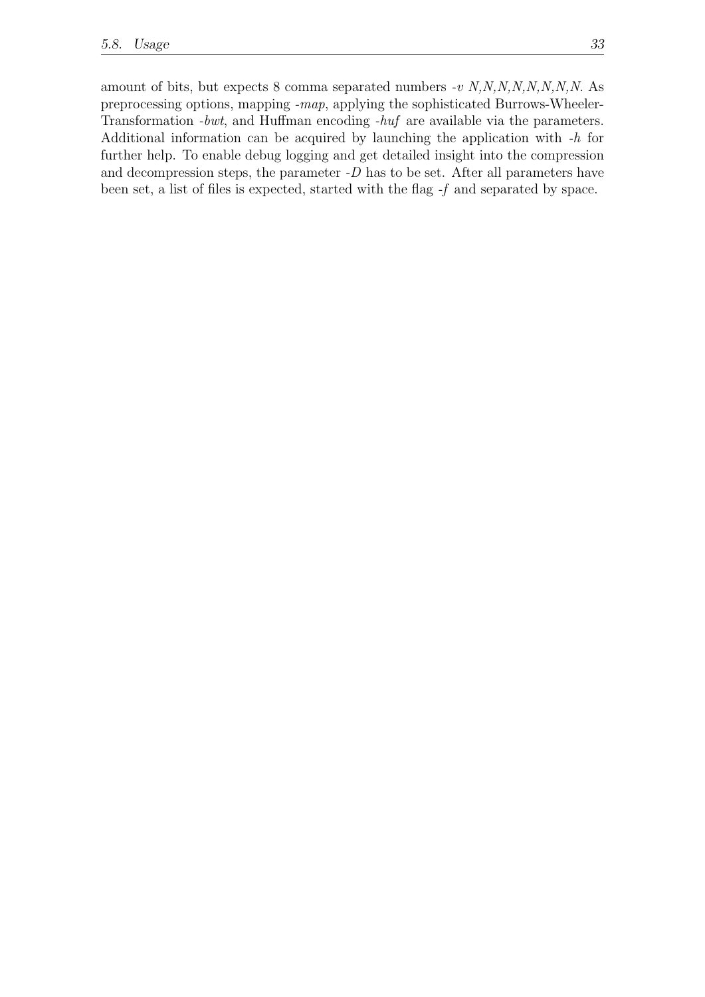amount of bits, but expects 8 comma separated numbers  $-v \ N, N, N, N, N, N, N, N, N$ . preprocessing options, mapping -map, applying the sophisticated Burrows-Wheeler-Transformation -bwt, and Huffman encoding -huf are available via the parameters. Additional information can be acquired by launching the application with -h for further help. To enable debug logging and get detailed insight into the compression and decompression steps, the parameter  $-D$  has to be set. After all parameters have been set, a list of files is expected, started with the flag -f and separated by space.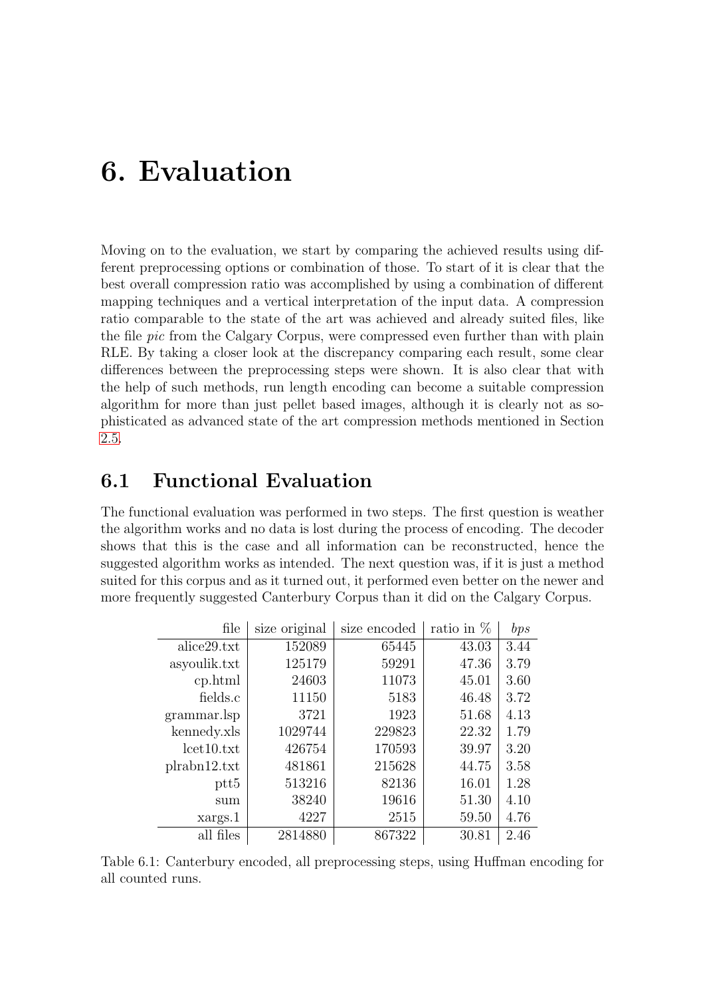## <span id="page-40-0"></span>6. Evaluation

Moving on to the evaluation, we start by comparing the achieved results using different preprocessing options or combination of those. To start of it is clear that the best overall compression ratio was accomplished by using a combination of different mapping techniques and a vertical interpretation of the input data. A compression ratio comparable to the state of the art was achieved and already suited files, like the file *pic* from the Calgary Corpus, were compressed even further than with plain RLE. By taking a closer look at the discrepancy comparing each result, some clear differences between the preprocessing steps were shown. It is also clear that with the help of such methods, run length encoding can become a suitable compression algorithm for more than just pellet based images, although it is clearly not as sophisticated as advanced state of the art compression methods mentioned in Section [2.5.](#page-17-0)

### <span id="page-40-1"></span>6.1 Functional Evaluation

The functional evaluation was performed in two steps. The first question is weather the algorithm works and no data is lost during the process of encoding. The decoder shows that this is the case and all information can be reconstructed, hence the suggested algorithm works as intended. The next question was, if it is just a method suited for this corpus and as it turned out, it performed even better on the newer and more frequently suggested Canterbury Corpus than it did on the Calgary Corpus.

<span id="page-40-2"></span>

| file             | size original | size encoded | ratio in $%$ | bps  |
|------------------|---------------|--------------|--------------|------|
| alice 29.txt     | 152089        | 65445        | 43.03        | 3.44 |
| asyoulik.txt     | 125179        | 59291        | 47.36        | 3.79 |
| cp.html          | 24603         | 11073        | 45.01        | 3.60 |
| fields.c         | 11150         | 5183         | 46.48        | 3.72 |
| grammar.lsp      | 3721          | 1923         | 51.68        | 4.13 |
| kennedy.xls      | 1029744       | 229823       | 22.32        | 1.79 |
| let10.txt        | 426754        | 170593       | 39.97        | 3.20 |
| plrabn12.txt     | 481861        | 215628       | 44.75        | 3.58 |
| ptt <sub>5</sub> | 513216        | 82136        | 16.01        | 1.28 |
| sum              | 38240         | 19616        | 51.30        | 4.10 |
| xargs.1          | 4227          | 2515         | 59.50        | 4.76 |
| all files        | 2814880       | 867322       | 30.81        | 2.46 |

Table 6.1: Canterbury encoded, all preprocessing steps, using Huffman encoding for all counted runs.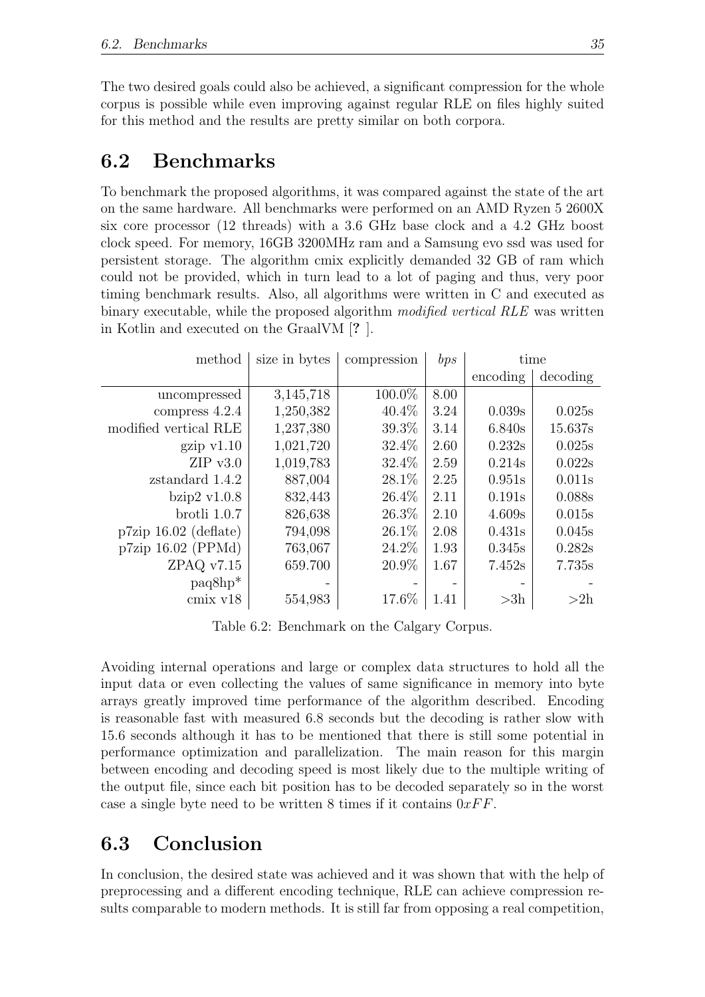The two desired goals could also be achieved, a significant compression for the whole corpus is possible while even improving against regular RLE on files highly suited for this method and the results are pretty similar on both corpora.

## <span id="page-41-0"></span>6.2 Benchmarks

To benchmark the proposed algorithms, it was compared against the state of the art on the same hardware. All benchmarks were performed on an AMD Ryzen 5 2600X six core processor (12 threads) with a 3.6 GHz base clock and a 4.2 GHz boost clock speed. For memory, 16GB 3200MHz ram and a Samsung evo ssd was used for persistent storage. The algorithm cmix explicitly demanded 32 GB of ram which could not be provided, which in turn lead to a lot of paging and thus, very poor timing benchmark results. Also, all algorithms were written in C and executed as binary executable, while the proposed algorithm modified vertical RLE was written in Kotlin and executed on the GraalVM [? ].

| method                | size in bytes | compression | bps  | time      |          |
|-----------------------|---------------|-------------|------|-----------|----------|
|                       |               |             |      | encoding  | decoding |
| uncompressed          | 3,145,718     | 100.0%      | 8.00 |           |          |
| compress 4.2.4        | 1,250,382     | $40.4\%$    | 3.24 | 0.039s    | 0.025s   |
| modified vertical RLE | 1,237,380     | $39.3\%$    | 3.14 | 6.840s    | 15.637s  |
| $\chi$ gzip v1.10     | 1,021,720     | 32.4%       | 2.60 | 0.232s    | 0.025s   |
| $ZIP$ v3.0            | 1,019,783     | 32.4%       | 2.59 | 0.214s    | 0.022s   |
| zstandard 1.4.2       | 887,004       | 28.1%       | 2.25 | 0.951s    | 0.011s   |
| bzip $2$ v $1.0.8$    | 832,443       | 26.4%       | 2.11 | 0.191s    | 0.088s   |
| $b$ rotli $1.0.7$     | 826,638       | 26.3\%      | 2.10 | 4.609s    | 0.015s   |
| p7zip 16.02 (deflate) | 794,098       | 26.1\%      | 2.08 | 0.431s    | 0.045s   |
| p7zip 16.02 (PPMd)    | 763,067       | 24.2\%      | 1.93 | 0.345s    | 0.282s   |
| ZPAQ v7.15            | 659.700       | 20.9%       | 1.67 | 7.452s    | 7.735s   |
| $paq8hp*$             |               |             |      |           |          |
| $cmix$ $v18$          | 554,983       | 17.6%       | 1.41 | $>\!\!3h$ | >2h      |

<span id="page-41-2"></span>Table 6.2: Benchmark on the Calgary Corpus.

Avoiding internal operations and large or complex data structures to hold all the input data or even collecting the values of same significance in memory into byte arrays greatly improved time performance of the algorithm described. Encoding is reasonable fast with measured 6.8 seconds but the decoding is rather slow with 15.6 seconds although it has to be mentioned that there is still some potential in performance optimization and parallelization. The main reason for this margin between encoding and decoding speed is most likely due to the multiple writing of the output file, since each bit position has to be decoded separately so in the worst case a single byte need to be written 8 times if it contains  $0xFF$ .

## <span id="page-41-1"></span>6.3 Conclusion

In conclusion, the desired state was achieved and it was shown that with the help of preprocessing and a different encoding technique, RLE can achieve compression results comparable to modern methods. It is still far from opposing a real competition,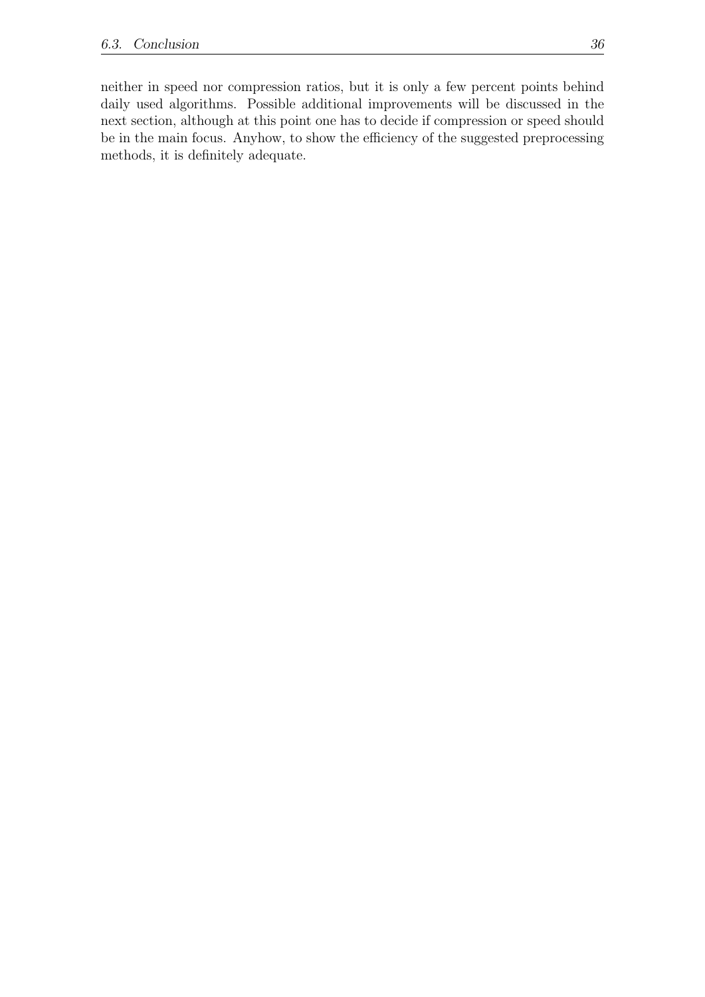neither in speed nor compression ratios, but it is only a few percent points behind daily used algorithms. Possible additional improvements will be discussed in the next section, although at this point one has to decide if compression or speed should be in the main focus. Anyhow, to show the efficiency of the suggested preprocessing methods, it is definitely adequate.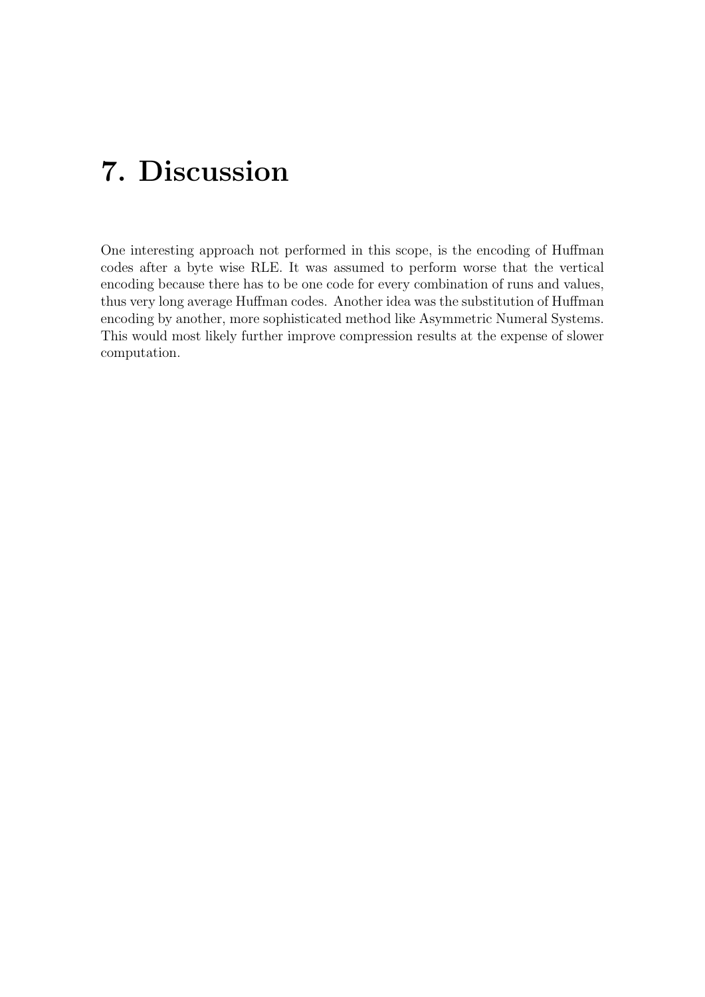## <span id="page-43-0"></span>7. Discussion

One interesting approach not performed in this scope, is the encoding of Huffman codes after a byte wise RLE. It was assumed to perform worse that the vertical encoding because there has to be one code for every combination of runs and values, thus very long average Huffman codes. Another idea was the substitution of Huffman encoding by another, more sophisticated method like Asymmetric Numeral Systems. This would most likely further improve compression results at the expense of slower computation.